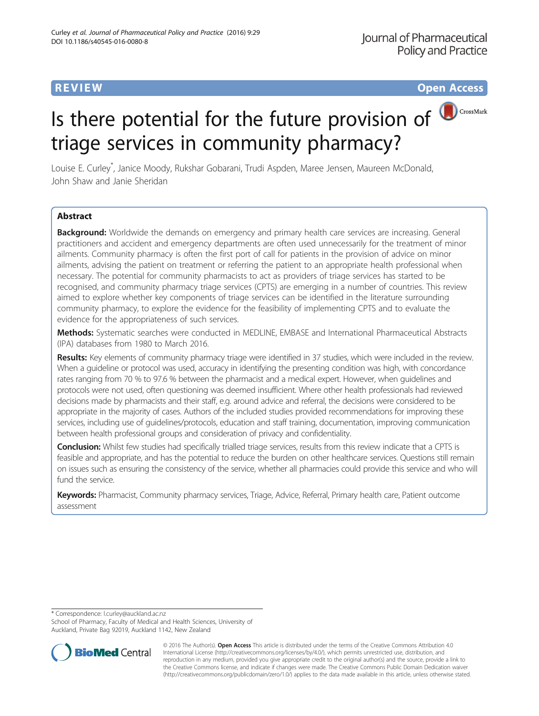**REVIEW CONSTRUCTION CONSTRUCTION CONSTRUCTS** 

# Is there potential for the future provision of  $\bigcirc$  CrossMark triage services in community pharmacy?

Louise E. Curley\* , Janice Moody, Rukshar Gobarani, Trudi Aspden, Maree Jensen, Maureen McDonald, John Shaw and Janie Sheridan

## Abstract

Background: Worldwide the demands on emergency and primary health care services are increasing. General practitioners and accident and emergency departments are often used unnecessarily for the treatment of minor ailments. Community pharmacy is often the first port of call for patients in the provision of advice on minor ailments, advising the patient on treatment or referring the patient to an appropriate health professional when necessary. The potential for community pharmacists to act as providers of triage services has started to be recognised, and community pharmacy triage services (CPTS) are emerging in a number of countries. This review aimed to explore whether key components of triage services can be identified in the literature surrounding community pharmacy, to explore the evidence for the feasibility of implementing CPTS and to evaluate the evidence for the appropriateness of such services.

Methods: Systematic searches were conducted in MEDLINE, EMBASE and International Pharmaceutical Abstracts (IPA) databases from 1980 to March 2016.

Results: Key elements of community pharmacy triage were identified in 37 studies, which were included in the review. When a guideline or protocol was used, accuracy in identifying the presenting condition was high, with concordance rates ranging from 70 % to 97.6 % between the pharmacist and a medical expert. However, when guidelines and protocols were not used, often questioning was deemed insufficient. Where other health professionals had reviewed decisions made by pharmacists and their staff, e.g. around advice and referral, the decisions were considered to be appropriate in the majority of cases. Authors of the included studies provided recommendations for improving these services, including use of guidelines/protocols, education and staff training, documentation, improving communication between health professional groups and consideration of privacy and confidentiality.

Conclusion: Whilst few studies had specifically trialled triage services, results from this review indicate that a CPTS is feasible and appropriate, and has the potential to reduce the burden on other healthcare services. Questions still remain on issues such as ensuring the consistency of the service, whether all pharmacies could provide this service and who will fund the service.

Keywords: Pharmacist, Community pharmacy services, Triage, Advice, Referral, Primary health care, Patient outcome assessment

\* Correspondence: [l.curley@auckland.ac.nz](mailto:l.curley@auckland.ac.nz)

School of Pharmacy, Faculty of Medical and Health Sciences, University of Auckland, Private Bag 92019, Auckland 1142, New Zealand



<sup>© 2016</sup> The Author(s). Open Access This article is distributed under the terms of the Creative Commons Attribution 4.0 International License [\(http://creativecommons.org/licenses/by/4.0/](http://creativecommons.org/licenses/by/4.0/)), which permits unrestricted use, distribution, and reproduction in any medium, provided you give appropriate credit to the original author(s) and the source, provide a link to the Creative Commons license, and indicate if changes were made. The Creative Commons Public Domain Dedication waiver [\(http://creativecommons.org/publicdomain/zero/1.0/](http://creativecommons.org/publicdomain/zero/1.0/)) applies to the data made available in this article, unless otherwise stated.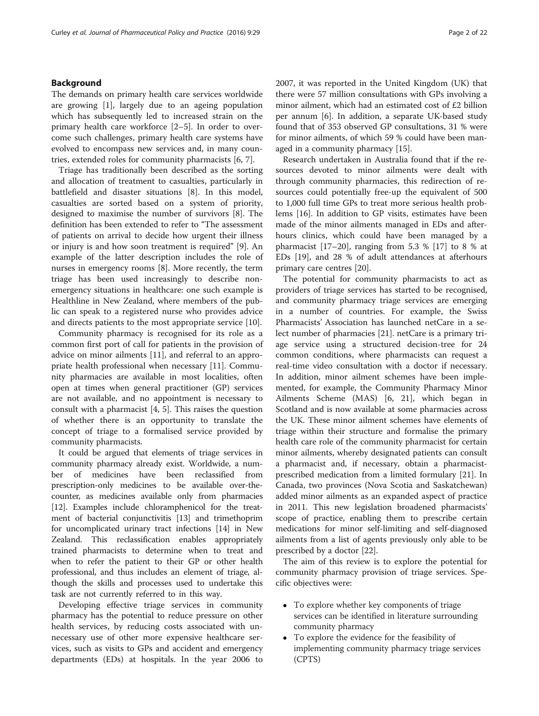## Background

The demands on primary health care services worldwide are growing [[1](#page-19-0)], largely due to an ageing population which has subsequently led to increased strain on the primary health care workforce [\[2](#page-19-0)–[5\]](#page-20-0). In order to overcome such challenges, primary health care systems have evolved to encompass new services and, in many countries, extended roles for community pharmacists [\[6](#page-20-0), [7](#page-20-0)].

Triage has traditionally been described as the sorting and allocation of treatment to casualties, particularly in battlefield and disaster situations [[8](#page-20-0)]. In this model, casualties are sorted based on a system of priority, designed to maximise the number of survivors [\[8](#page-20-0)]. The definition has been extended to refer to "The assessment of patients on arrival to decide how urgent their illness or injury is and how soon treatment is required" [[9\]](#page-20-0). An example of the latter description includes the role of nurses in emergency rooms [[8](#page-20-0)]. More recently, the term triage has been used increasingly to describe nonemergency situations in healthcare: one such example is Healthline in New Zealand, where members of the public can speak to a registered nurse who provides advice and directs patients to the most appropriate service [[10](#page-20-0)].

Community pharmacy is recognised for its role as a common first port of call for patients in the provision of advice on minor ailments [[11\]](#page-20-0), and referral to an appropriate health professional when necessary [[11\]](#page-20-0). Community pharmacies are available in most localities, often open at times when general practitioner (GP) services are not available, and no appointment is necessary to consult with a pharmacist [\[4](#page-20-0), [5](#page-20-0)]. This raises the question of whether there is an opportunity to translate the concept of triage to a formalised service provided by community pharmacists.

It could be argued that elements of triage services in community pharmacy already exist. Worldwide, a number of medicines have been reclassified from prescription-only medicines to be available over-thecounter, as medicines available only from pharmacies [[12](#page-20-0)]. Examples include chloramphenicol for the treatment of bacterial conjunctivitis [\[13\]](#page-20-0) and trimethoprim for uncomplicated urinary tract infections [\[14](#page-20-0)] in New Zealand. This reclassification enables appropriately trained pharmacists to determine when to treat and when to refer the patient to their GP or other health professional, and thus includes an element of triage, although the skills and processes used to undertake this task are not currently referred to in this way.

Developing effective triage services in community pharmacy has the potential to reduce pressure on other health services, by reducing costs associated with unnecessary use of other more expensive healthcare services, such as visits to GPs and accident and emergency departments (EDs) at hospitals. In the year 2006 to 2007, it was reported in the United Kingdom (UK) that there were 57 million consultations with GPs involving a minor ailment, which had an estimated cost of £2 billion per annum [\[6](#page-20-0)]. In addition, a separate UK-based study found that of 353 observed GP consultations, 31 % were for minor ailments, of which 59 % could have been managed in a community pharmacy [\[15](#page-20-0)].

Research undertaken in Australia found that if the resources devoted to minor ailments were dealt with through community pharmacies, this redirection of resources could potentially free-up the equivalent of 500 to 1,000 full time GPs to treat more serious health problems [[16](#page-20-0)]. In addition to GP visits, estimates have been made of the minor ailments managed in EDs and afterhours clinics, which could have been managed by a pharmacist [\[17](#page-20-0)–[20\]](#page-20-0), ranging from 5.3 % [\[17](#page-20-0)] to 8 % at EDs [[19\]](#page-20-0), and 28 % of adult attendances at afterhours primary care centres [\[20\]](#page-20-0).

The potential for community pharmacists to act as providers of triage services has started to be recognised, and community pharmacy triage services are emerging in a number of countries. For example, the Swiss Pharmacists' Association has launched netCare in a select number of pharmacies [[21\]](#page-20-0). netCare is a primary triage service using a structured decision-tree for 24 common conditions, where pharmacists can request a real-time video consultation with a doctor if necessary. In addition, minor ailment schemes have been implemented, for example, the Community Pharmacy Minor Ailments Scheme (MAS) [\[6](#page-20-0), [21](#page-20-0)], which began in Scotland and is now available at some pharmacies across the UK. These minor ailment schemes have elements of triage within their structure and formalise the primary health care role of the community pharmacist for certain minor ailments, whereby designated patients can consult a pharmacist and, if necessary, obtain a pharmacistprescribed medication from a limited formulary [\[21\]](#page-20-0). In Canada, two provinces (Nova Scotia and Saskatchewan) added minor ailments as an expanded aspect of practice in 2011. This new legislation broadened pharmacists' scope of practice, enabling them to prescribe certain medications for minor self-limiting and self-diagnosed ailments from a list of agents previously only able to be prescribed by a doctor [[22](#page-20-0)].

The aim of this review is to explore the potential for community pharmacy provision of triage services. Specific objectives were:

- To explore whether key components of triage services can be identified in literature surrounding community pharmacy
- To explore the evidence for the feasibility of implementing community pharmacy triage services (CPTS)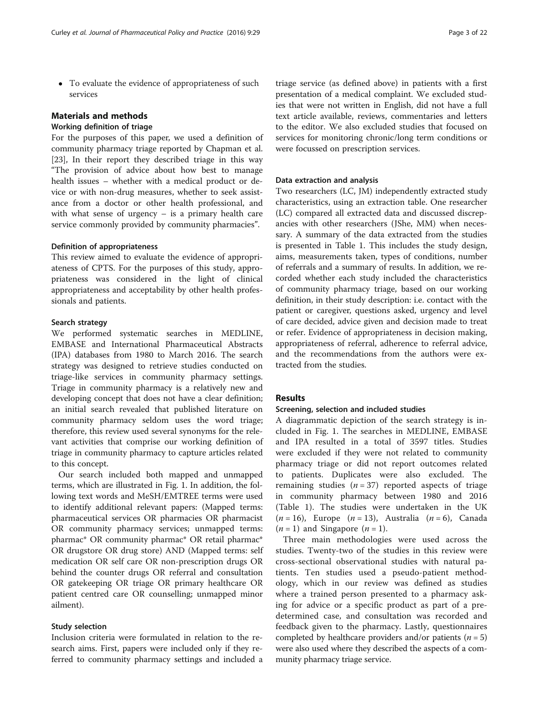To evaluate the evidence of appropriateness of such services

### Materials and methods

## Working definition of triage

For the purposes of this paper, we used a definition of community pharmacy triage reported by Chapman et al. [[23\]](#page-20-0), In their report they described triage in this way "The provision of advice about how best to manage health issues – whether with a medical product or device or with non-drug measures, whether to seek assistance from a doctor or other health professional, and with what sense of urgency – is a primary health care service commonly provided by community pharmacies".

#### Definition of appropriateness

This review aimed to evaluate the evidence of appropriateness of CPTS. For the purposes of this study, appropriateness was considered in the light of clinical appropriateness and acceptability by other health professionals and patients.

## Search strategy

We performed systematic searches in MEDLINE, EMBASE and International Pharmaceutical Abstracts (IPA) databases from 1980 to March 2016. The search strategy was designed to retrieve studies conducted on triage-like services in community pharmacy settings. Triage in community pharmacy is a relatively new and developing concept that does not have a clear definition; an initial search revealed that published literature on community pharmacy seldom uses the word triage; therefore, this review used several synonyms for the relevant activities that comprise our working definition of triage in community pharmacy to capture articles related to this concept.

Our search included both mapped and unmapped terms, which are illustrated in Fig. [1](#page-3-0). In addition, the following text words and MeSH/EMTREE terms were used to identify additional relevant papers: (Mapped terms: pharmaceutical services OR pharmacies OR pharmacist OR community pharmacy services; unmapped terms: pharmac\* OR community pharmac\* OR retail pharmac\* OR drugstore OR drug store) AND (Mapped terms: self medication OR self care OR non-prescription drugs OR behind the counter drugs OR referral and consultation OR gatekeeping OR triage OR primary healthcare OR patient centred care OR counselling; unmapped minor ailment).

## Study selection

Inclusion criteria were formulated in relation to the research aims. First, papers were included only if they referred to community pharmacy settings and included a triage service (as defined above) in patients with a first presentation of a medical complaint. We excluded studies that were not written in English, did not have a full text article available, reviews, commentaries and letters to the editor. We also excluded studies that focused on services for monitoring chronic/long term conditions or were focussed on prescription services.

## Data extraction and analysis

Two researchers (LC, JM) independently extracted study characteristics, using an extraction table. One researcher (LC) compared all extracted data and discussed discrepancies with other researchers (JShe, MM) when necessary. A summary of the data extracted from the studies is presented in Table [1.](#page-4-0) This includes the study design, aims, measurements taken, types of conditions, number of referrals and a summary of results. In addition, we recorded whether each study included the characteristics of community pharmacy triage, based on our working definition, in their study description: i.e. contact with the patient or caregiver, questions asked, urgency and level of care decided, advice given and decision made to treat or refer. Evidence of appropriateness in decision making, appropriateness of referral, adherence to referral advice, and the recommendations from the authors were extracted from the studies.

#### Results

#### Screening, selection and included studies

A diagrammatic depiction of the search strategy is included in Fig. [1](#page-3-0). The searches in MEDLINE, EMBASE and IPA resulted in a total of 3597 titles. Studies were excluded if they were not related to community pharmacy triage or did not report outcomes related to patients. Duplicates were also excluded. The remaining studies  $(n = 37)$  reported aspects of triage in community pharmacy between 1980 and 2016 (Table [1\)](#page-4-0). The studies were undertaken in the UK  $(n = 16)$ , Europe  $(n = 13)$ , Australia  $(n = 6)$ , Canada  $(n = 1)$  and Singapore  $(n = 1)$ .

Three main methodologies were used across the studies. Twenty-two of the studies in this review were cross-sectional observational studies with natural patients. Ten studies used a pseudo-patient methodology, which in our review was defined as studies where a trained person presented to a pharmacy asking for advice or a specific product as part of a predetermined case, and consultation was recorded and feedback given to the pharmacy. Lastly, questionnaires completed by healthcare providers and/or patients ( $n = 5$ ) were also used where they described the aspects of a community pharmacy triage service.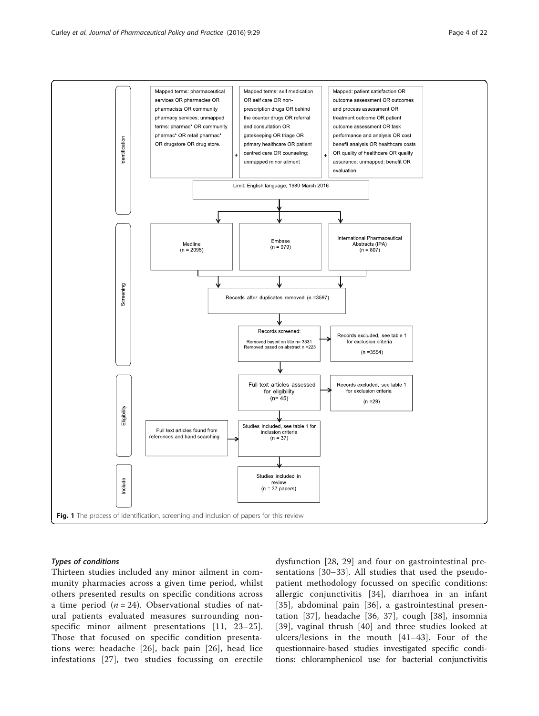<span id="page-3-0"></span>

## Types of conditions

Thirteen studies included any minor ailment in community pharmacies across a given time period, whilst others presented results on specific conditions across a time period  $(n = 24)$ . Observational studies of natural patients evaluated measures surrounding nonspecific minor ailment presentations [[11](#page-20-0), [23](#page-20-0)–[25](#page-20-0)]. Those that focused on specific condition presentations were: headache [[26](#page-20-0)], back pain [[26](#page-20-0)], head lice infestations [\[27\]](#page-20-0), two studies focussing on erectile dysfunction [[28, 29](#page-20-0)] and four on gastrointestinal presentations [\[30](#page-20-0)–[33\]](#page-20-0). All studies that used the pseudopatient methodology focussed on specific conditions: allergic conjunctivitis [[34\]](#page-20-0), diarrhoea in an infant [[35](#page-20-0)], abdominal pain [[36\]](#page-20-0), a gastrointestinal presentation [[37](#page-20-0)], headache [[36, 37](#page-20-0)], cough [[38](#page-20-0)], insomnia [[39](#page-20-0)], vaginal thrush [[40\]](#page-20-0) and three studies looked at ulcers/lesions in the mouth [[41](#page-20-0)–[43](#page-20-0)]. Four of the questionnaire-based studies investigated specific conditions: chloramphenicol use for bacterial conjunctivitis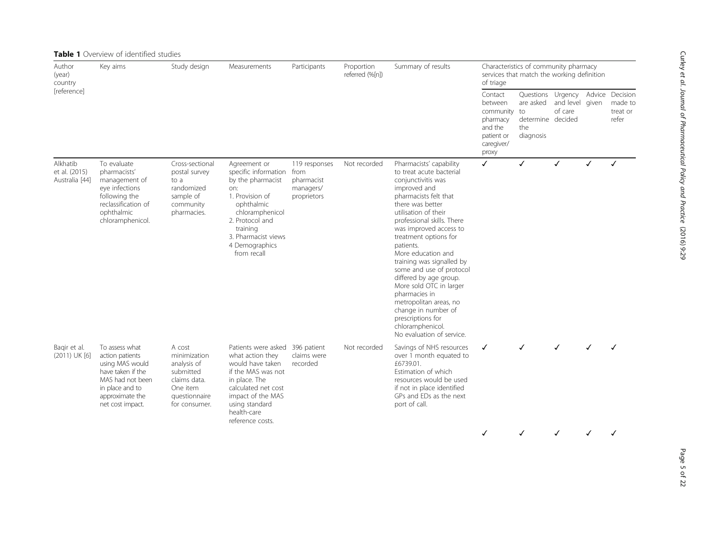<span id="page-4-0"></span>

| Author<br>(year)<br>country<br>[reference]  | Key aims                                                                                                                                                                                                                  | Study design                                                                                                                                                                                                                                                      | Measurements                                                                                                                                                                                                | Participants                                                    | Proportion<br>referred (%[n])                                                                                                                                                                | Summary of results                                                                                                                                                                                                                                                                                                                                                                                                                                                                                                                       | Characteristics of community pharmacy<br>services that match the working definition<br>of triage |                                                                 |                                                       |                |                              |
|---------------------------------------------|---------------------------------------------------------------------------------------------------------------------------------------------------------------------------------------------------------------------------|-------------------------------------------------------------------------------------------------------------------------------------------------------------------------------------------------------------------------------------------------------------------|-------------------------------------------------------------------------------------------------------------------------------------------------------------------------------------------------------------|-----------------------------------------------------------------|----------------------------------------------------------------------------------------------------------------------------------------------------------------------------------------------|------------------------------------------------------------------------------------------------------------------------------------------------------------------------------------------------------------------------------------------------------------------------------------------------------------------------------------------------------------------------------------------------------------------------------------------------------------------------------------------------------------------------------------------|--------------------------------------------------------------------------------------------------|-----------------------------------------------------------------|-------------------------------------------------------|----------------|------------------------------|
|                                             |                                                                                                                                                                                                                           |                                                                                                                                                                                                                                                                   |                                                                                                                                                                                                             |                                                                 |                                                                                                                                                                                              |                                                                                                                                                                                                                                                                                                                                                                                                                                                                                                                                          | Contact<br>between<br>community to<br>pharmacy<br>and the<br>patient or<br>caregiver/<br>proxy   | Questions<br>are asked<br>determine decided<br>the<br>diagnosis | Urgency Advice Decision<br>and level given<br>of care |                | made to<br>treat or<br>refer |
| Alkhatib<br>et al. (2015)<br>Australia [44] | To evaluate<br>pharmacists'<br>management of<br>eye infections<br>following the<br>reclassification of<br>ophthalmic<br>chloramphenicol.                                                                                  | Cross-sectional<br>postal survey<br>to a<br>randomized<br>sample of<br>community<br>pharmacies.                                                                                                                                                                   | Agreement or<br>specific information<br>by the pharmacist<br>on:<br>1. Provision of<br>ophthalmic<br>chloramphenicol<br>2. Protocol and<br>training<br>3. Pharmacist views<br>4 Demographics<br>from recall | 119 responses<br>from<br>pharmacist<br>managers/<br>proprietors | Not recorded                                                                                                                                                                                 | Pharmacists' capability<br>to treat acute bacterial<br>conjunctivitis was<br>improved and<br>pharmacists felt that<br>there was better<br>utilisation of their<br>professional skills. There<br>was improved access to<br>treatment options for<br>patients.<br>More education and<br>training was signalled by<br>some and use of protocol<br>differed by age group.<br>More sold OTC in larger<br>pharmacies in<br>metropolitan areas, no<br>change in number of<br>prescriptions for<br>chloramphenicol.<br>No evaluation of service. | $\checkmark$                                                                                     | $\checkmark$                                                    | $\checkmark$                                          | $\overline{1}$ |                              |
| Bagir et al.<br>(2011) UK [6]               | To assess what<br>A cost<br>action patients<br>using MAS would<br>analysis of<br>have taken if the<br>submitted<br>MAS had not been<br>claims data.<br>in place and to<br>One item<br>approximate the<br>net cost impact. | Patients were asked 396 patient<br>what action they<br>minimization<br>would have taken<br>if the MAS was not<br>in place. The<br>calculated net cost<br>impact of the MAS<br>questionnaire<br>using standard<br>for consumer.<br>health-care<br>reference costs. | claims were<br>recorded                                                                                                                                                                                     | Not recorded                                                    | Savings of NHS resources<br>over 1 month equated to<br>£6739.01.<br>Estimation of which<br>resources would be used<br>if not in place identified<br>GPs and EDs as the next<br>port of call. | $\checkmark$                                                                                                                                                                                                                                                                                                                                                                                                                                                                                                                             | ✓                                                                                                |                                                                 |                                                       |                |                              |
|                                             |                                                                                                                                                                                                                           |                                                                                                                                                                                                                                                                   |                                                                                                                                                                                                             |                                                                 |                                                                                                                                                                                              |                                                                                                                                                                                                                                                                                                                                                                                                                                                                                                                                          | ✓                                                                                                | ✓                                                               | ✓                                                     | ✓              |                              |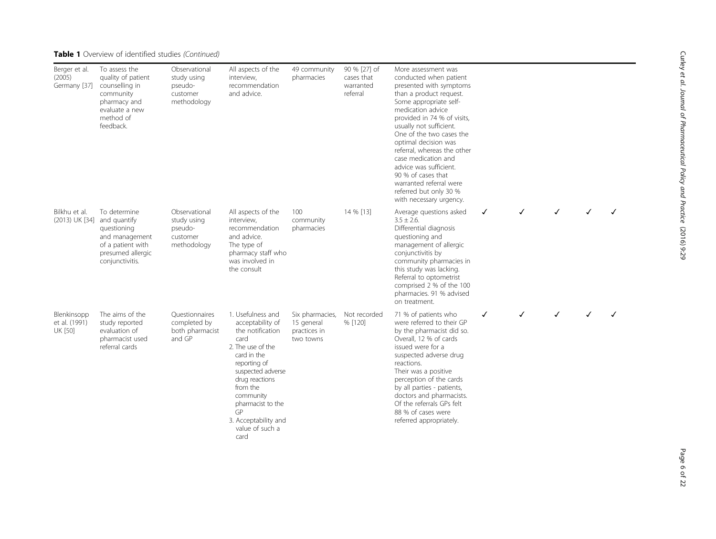| Berger et al.<br>(2005)<br>Germany [37] | To assess the<br>quality of patient<br>counselling in<br>community<br>pharmacy and<br>evaluate a new<br>method of<br>feedback. | Observational<br>study using<br>pseudo-<br>customer<br>methodology | All aspects of the<br>interview,<br>recommendation<br>and advice.                                                                                                                                                                                                   | 49 community<br>pharmacies                                 | 90 % [27] of<br>cases that<br>warranted<br>referral | More assessment was<br>conducted when patient<br>presented with symptoms<br>than a product request.<br>Some appropriate self-<br>medication advice<br>provided in 74 % of visits,<br>usually not sufficient.<br>One of the two cases the<br>optimal decision was<br>referral, whereas the other<br>case medication and<br>advice was sufficient.<br>90 % of cases that<br>warranted referral were<br>referred but only 30 %<br>with necessary urgency. |   |   |  |  |
|-----------------------------------------|--------------------------------------------------------------------------------------------------------------------------------|--------------------------------------------------------------------|---------------------------------------------------------------------------------------------------------------------------------------------------------------------------------------------------------------------------------------------------------------------|------------------------------------------------------------|-----------------------------------------------------|--------------------------------------------------------------------------------------------------------------------------------------------------------------------------------------------------------------------------------------------------------------------------------------------------------------------------------------------------------------------------------------------------------------------------------------------------------|---|---|--|--|
| Bilkhu et al.<br>(2013) UK [34]         | To determine<br>and quantify<br>questioning<br>and management<br>of a patient with<br>presumed allergic<br>conjunctivitis.     | Observational<br>study using<br>pseudo-<br>customer<br>methodology | All aspects of the<br>interview,<br>recommendation<br>and advice.<br>The type of<br>pharmacy staff who<br>was involved in<br>the consult                                                                                                                            | 100<br>community<br>pharmacies                             | 14 % [13]                                           | Average questions asked<br>$3.5 \pm 2.6$ .<br>Differential diagnosis<br>questioning and<br>management of allergic<br>conjunctivitis by<br>community pharmacies in<br>this study was lacking.<br>Referral to optometrist<br>comprised 2 % of the 100<br>pharmacies. 91 % advised<br>on treatment.                                                                                                                                                       | ✓ | ℐ |  |  |
| Blenkinsopp<br>et al. (1991)<br>UK [50] | The aims of the<br>study reported<br>evaluation of<br>pharmacist used<br>referral cards                                        | Ouestionnaires<br>completed by<br>both pharmacist<br>and GP        | 1. Usefulness and<br>acceptability of<br>the notification<br>card<br>2. The use of the<br>card in the<br>reporting of<br>suspected adverse<br>drug reactions<br>from the<br>community<br>pharmacist to the<br>GP<br>3. Acceptability and<br>value of such a<br>card | Six pharmacies,<br>15 general<br>practices in<br>two towns | Not recorded<br>% [120]                             | 71 % of patients who<br>were referred to their GP<br>by the pharmacist did so.<br>Overall, 12 % of cards<br>issued were for a<br>suspected adverse drug<br>reactions.<br>Their was a positive<br>perception of the cards<br>by all parties - patients,<br>doctors and pharmacists.<br>Of the referrals GPs felt<br>88 % of cases were<br>referred appropriately.                                                                                       | ✓ |   |  |  |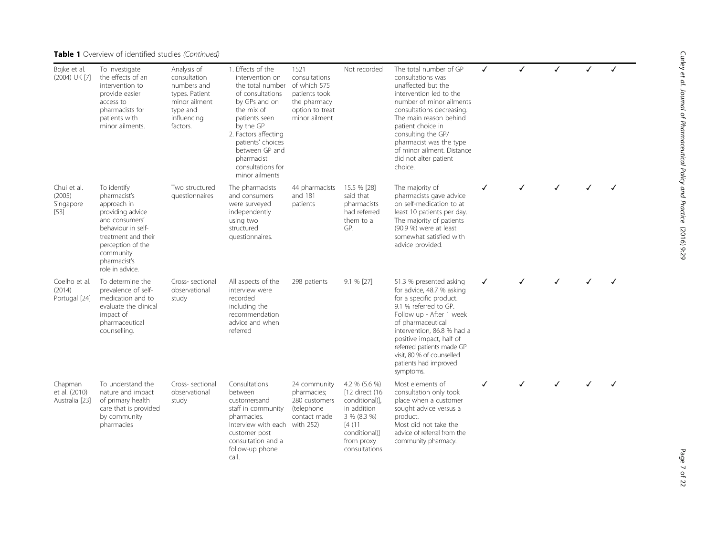| Bojke et al.<br>(2004) UK [7]                | To investigate<br>the effects of an<br>intervention to<br>provide easier<br>access to<br>pharmacists for<br>patients with<br>minor ailments.                                                       | Analysis of<br>consultation<br>numbers and<br>types. Patient<br>minor ailment<br>type and<br>influencing<br>factors. | 1. Effects of the<br>intervention on<br>the total number<br>of consultations<br>by GPs and on<br>the mix of<br>patients seen<br>by the GP<br>2. Factors affecting<br>patients' choices<br>between GP and<br>pharmacist<br>consultations for<br>minor ailments | 1521<br>consultations<br>of which 575<br>patients took<br>the pharmacy<br>option to treat<br>minor ailment | Not recorded                                                                                                                             | The total number of GP<br>consultations was<br>unaffected but the<br>intervention led to the<br>number of minor ailments<br>consultations decreasing.<br>The main reason behind<br>patient choice in<br>consulting the GP/<br>pharmacist was the type<br>of minor ailment. Distance<br>did not alter patient<br>choice. | ✓ | ✓ | J | ✓ | ✓ |
|----------------------------------------------|----------------------------------------------------------------------------------------------------------------------------------------------------------------------------------------------------|----------------------------------------------------------------------------------------------------------------------|---------------------------------------------------------------------------------------------------------------------------------------------------------------------------------------------------------------------------------------------------------------|------------------------------------------------------------------------------------------------------------|------------------------------------------------------------------------------------------------------------------------------------------|-------------------------------------------------------------------------------------------------------------------------------------------------------------------------------------------------------------------------------------------------------------------------------------------------------------------------|---|---|---|---|---|
| Chui et al.<br>(2005)<br>Singapore<br>$[53]$ | To identify<br>pharmacist's<br>approach in<br>providing advice<br>and consumers'<br>behaviour in self-<br>treatment and their<br>perception of the<br>community<br>pharmacist's<br>role in advice. | Two structured<br>questionnaires                                                                                     | The pharmacists<br>and consumers<br>were surveyed<br>independently<br>using two<br>structured<br>questionnaires.                                                                                                                                              | 44 pharmacists<br>and 181<br>patients                                                                      | 15.5 % [28]<br>said that<br>pharmacists<br>had referred<br>them to a<br>GP.                                                              | The majority of<br>pharmacists gave advice<br>on self-medication to at<br>least 10 patients per day.<br>The majority of patients<br>(90.9 %) were at least<br>somewhat satisfied with<br>advice provided.                                                                                                               |   |   |   |   |   |
| Coelho et al.<br>(2014)<br>Portugal [24]     | To determine the<br>prevalence of self-<br>medication and to<br>evaluate the clinical<br>impact of<br>pharmaceutical<br>counselling.                                                               | Cross- sectional<br>observational<br>study                                                                           | All aspects of the<br>interview were<br>recorded<br>including the<br>recommendation<br>advice and when<br>referred                                                                                                                                            | 298 patients                                                                                               | 9.1 % [27]                                                                                                                               | 51.3 % presented asking<br>for advice, 48.7 % asking<br>for a specific product.<br>9.1 % referred to GP.<br>Follow up - After 1 week<br>of pharmaceutical<br>intervention, 86.8 % had a<br>positive impact, half of<br>referred patients made GP<br>visit, 80 % of counselled<br>patients had improved<br>symptoms.     | ✓ | ✓ |   |   |   |
| Chapman<br>et al. (2010)<br>Australia [23]   | To understand the<br>nature and impact<br>of primary health<br>care that is provided<br>by community<br>pharmacies                                                                                 | Cross- sectional<br>observational<br>study                                                                           | Consultations<br>between<br>customersand<br>staff in community<br>pharmacies.<br>Interview with each with 252)<br>customer post<br>consultation and a<br>follow-up phone<br>call.                                                                             | 24 community<br>pharmacies;<br>280 customers<br>(telephone<br>contact made                                 | 4.2 % (5.6 %)<br>[12 direct (16<br>conditional)],<br>in addition<br>3 % (8.3 %)<br>[4(11<br>conditional)]<br>from proxy<br>consultations | Most elements of<br>consultation only took<br>place when a customer<br>sought advice versus a<br>product.<br>Most did not take the<br>advice of referral from the<br>community pharmacy.                                                                                                                                | ✓ |   |   |   |   |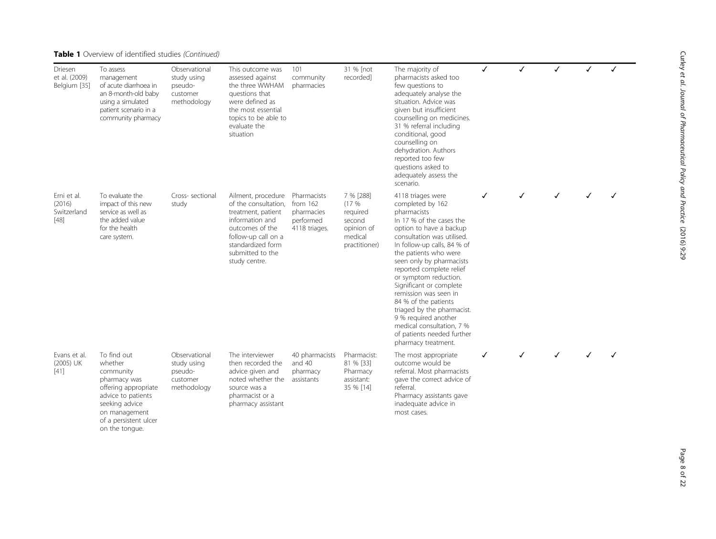on the tongue.

| <b>Driesen</b><br>et al. (2009)<br>Belgium [35] | To assess<br>management<br>of acute diarrhoea in<br>an 8-month-old baby<br>using a simulated<br>patient scenario in a<br>community pharmacy                   | Observational<br>study using<br>pseudo-<br>customer<br>methodology | This outcome was<br>assessed against<br>the three WWHAM<br>questions that<br>were defined as<br>the most essential<br>topics to be able to<br>evaluate the<br>situation                 | 101<br>community<br>pharmacies                                        | 31 % [not<br>recorded]                                                            | The majority of<br>pharmacists asked too<br>few questions to<br>adequately analyse the<br>situation. Advice was<br>given but insufficient<br>counselling on medicines.<br>31 % referral including<br>conditional, good<br>counselling on<br>dehydration. Authors<br>reported too few<br>questions asked to<br>adequately assess the<br>scenario.                                                                                                                                                       | ✓            |   | ✓ |  |
|-------------------------------------------------|---------------------------------------------------------------------------------------------------------------------------------------------------------------|--------------------------------------------------------------------|-----------------------------------------------------------------------------------------------------------------------------------------------------------------------------------------|-----------------------------------------------------------------------|-----------------------------------------------------------------------------------|--------------------------------------------------------------------------------------------------------------------------------------------------------------------------------------------------------------------------------------------------------------------------------------------------------------------------------------------------------------------------------------------------------------------------------------------------------------------------------------------------------|--------------|---|---|--|
| Erni et al.<br>(2016)<br>Switzerland<br>$[48]$  | To evaluate the<br>impact of this new<br>service as well as<br>the added value<br>for the health<br>care system.                                              | Cross- sectional<br>study                                          | Ailment, procedure<br>of the consultation.<br>treatment, patient<br>information and<br>outcomes of the<br>follow-up call on a<br>standardized form<br>submitted to the<br>study centre. | Pharmacists<br>from $162$<br>pharmacies<br>performed<br>4118 triages. | 7 % [288]<br>(17%<br>required<br>second<br>opinion of<br>medical<br>practitioner) | 4118 triages were<br>completed by 162<br>pharmacists<br>In 17 % of the cases the<br>option to have a backup<br>consultation was utilised.<br>In follow-up calls, 84 % of<br>the patients who were<br>seen only by pharmacists<br>reported complete relief<br>or symptom reduction.<br>Significant or complete<br>remission was seen in<br>84 % of the patients<br>triaged by the pharmacist.<br>9 % required another<br>medical consultation, 7 %<br>of patients needed further<br>pharmacy treatment. | ✓            | ✓ |   |  |
| Evans et al.<br>(2005) UK<br>$[41]$             | To find out<br>whether<br>community<br>pharmacy was<br>offering appropriate<br>advice to patients<br>seeking advice<br>on management<br>of a persistent ulcer | Observational<br>study using<br>pseudo-<br>customer<br>methodology | The interviewer<br>then recorded the<br>advice given and<br>noted whether the<br>source was a<br>pharmacist or a<br>pharmacy assistant                                                  | 40 pharmacists<br>and 40<br>pharmacy<br>assistants                    | Pharmacist:<br>81 % [33]<br>Pharmacy<br>assistant:<br>35 % [14]                   | The most appropriate<br>outcome would be<br>referral. Most pharmacists<br>gave the correct advice of<br>referral.<br>Pharmacy assistants gave<br>inadequate advice in<br>most cases.                                                                                                                                                                                                                                                                                                                   | $\checkmark$ | ✓ |   |  |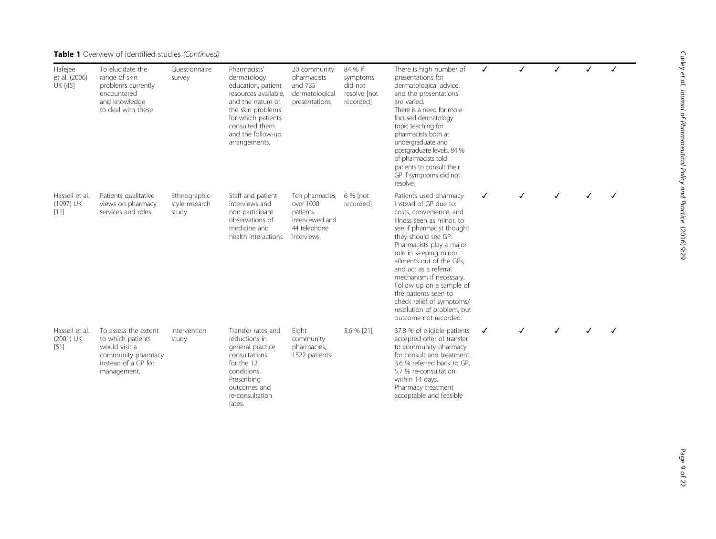| Hafejee<br>et al. (2006)<br>UK [45]   | To elucidate the<br>range of skin<br>problems currently<br>encountered<br>and knowledge<br>to deal with these          | Questionnaire<br>survey                  | Pharmacists'<br>dermatology<br>education, patient<br>resources available,<br>and the nature of<br>the skin problems<br>for which patients<br>consulted them<br>and the follow-up<br>arrangements. | 20 community<br>pharmacists<br>and 735<br>dermatological<br>presentations                 | 84 % if<br>symptoms<br>did not<br>resolve [not<br>recorded] | There is high number of<br>presentations for<br>dermatological advice,<br>and the presentations<br>are varied.<br>There is a need for more<br>focused dermatology<br>topic teaching for<br>pharmacists both at<br>undergraduate and<br>postgraduate levels. 84 %<br>of pharmacists told<br>patients to consult their<br>GP if symptoms did not<br>resolve.                                                                               | ✓ |   |  |  |
|---------------------------------------|------------------------------------------------------------------------------------------------------------------------|------------------------------------------|---------------------------------------------------------------------------------------------------------------------------------------------------------------------------------------------------|-------------------------------------------------------------------------------------------|-------------------------------------------------------------|------------------------------------------------------------------------------------------------------------------------------------------------------------------------------------------------------------------------------------------------------------------------------------------------------------------------------------------------------------------------------------------------------------------------------------------|---|---|--|--|
| Hassell et al.<br>(1997) UK<br>$[11]$ | Patients qualitative<br>views on pharmacy<br>services and roles                                                        | Ethnographic-<br>style research<br>study | Staff and patient<br>interviews and<br>non-participant<br>observations of<br>medicine and<br>health interactions                                                                                  | Ten pharmacies,<br>over 1000<br>patients<br>interviewed and<br>44 telephone<br>interviews | 6 % [not<br>recorded]                                       | Patients used pharmacy<br>instead of GP due to:<br>costs, convenience, and<br>illness seen as minor, to<br>see if pharmacist thought<br>they should see GP.<br>Pharmacists play a major<br>role in keeping minor<br>ailments out of the GPs.<br>and act as a referral<br>mechanism if necessary.<br>Follow up on a sample of<br>the patients seen to<br>check relief of symptoms/<br>resolution of problem, but<br>outcome not recorded. | ✓ |   |  |  |
| Hassell et al.<br>(2001) UK<br>$[51]$ | To assess the extent<br>to which patients<br>would visit a<br>community pharmacy<br>instead of a GP for<br>management. | Intervention<br>study                    | Transfer rates and<br>reductions in<br>general practice<br>consultations<br>for the 12<br>conditions.<br>Prescribing<br>outcomes and<br>re-consultation<br>rates.                                 | Eight<br>community<br>pharmacies,<br>1522 patients                                        | 3.6 % [21]                                                  | 37.8 % of eligible patients<br>accepted offer of transfer<br>to community pharmacy<br>for consult and treatment.<br>3.6 % referred back to GP,<br>5.7 % re-consultation<br>within 14 days.<br>Pharmacy treatment<br>acceptable and feasible                                                                                                                                                                                              | ✓ | ✓ |  |  |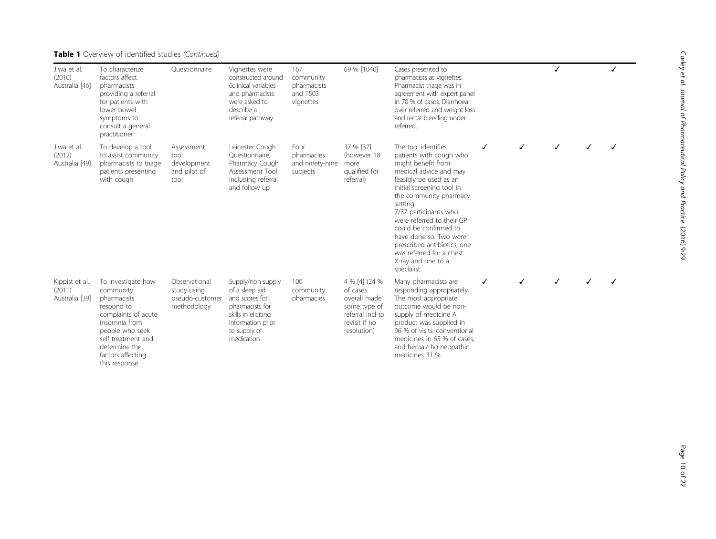| Jiwa et al.<br>(2010)<br>Australia [46]    | To characterize<br>factors affect<br>pharmacists<br>providing a referral<br>for patients with<br>lower bowel<br>symptoms to<br>consult a general<br>practitioner                                      | Ouestionnaire                                                  | Vignettes were<br>constructed around<br>6clinical variables<br>and pharmacists<br>were asked to<br>describe a<br>referral pathway.                 | 167<br>community<br>pharmacists<br>and 1503<br>vignettes | 69 % [1040]                                                                                                   | Cases presented to<br>pharmacists as vignettes.<br>Pharmacist triage was in<br>agreement with expert panel<br>in 70 % of cases. Diarrhoea<br>over referred and weight loss<br>and rectal bleeding under<br>referred.                                                                                                                                                                                 |   | ✓ |  |
|--------------------------------------------|-------------------------------------------------------------------------------------------------------------------------------------------------------------------------------------------------------|----------------------------------------------------------------|----------------------------------------------------------------------------------------------------------------------------------------------------|----------------------------------------------------------|---------------------------------------------------------------------------------------------------------------|------------------------------------------------------------------------------------------------------------------------------------------------------------------------------------------------------------------------------------------------------------------------------------------------------------------------------------------------------------------------------------------------------|---|---|--|
| Jiwa et al.<br>(2012)<br>Australia [49]    | To develop a tool<br>to assist community<br>pharmacists to triage<br>patients presenting<br>with cough                                                                                                | Assessment<br>tool<br>development<br>and pilot of<br>tool      | Leicester Cough<br>Questionnaire;<br>Pharmacy Cough<br>Assessment Tool<br>including referral<br>and follow up                                      | Four<br>pharmacies<br>and ninety-nine<br>subjects        | 37 % [37]<br>(however 18<br>more<br>qualified for<br>referral)                                                | The tool identifies<br>patients with cough who<br>might benefit from<br>medical advice and may<br>feasibly be used as an<br>initial screening tool in<br>the community pharmacy<br>setting.<br>7/37 participants who<br>were referred to their GP<br>could be confirmed to<br>have done so. Two were<br>prescribed antibiotics; one<br>was referred for a chest<br>X-ray and one to a<br>specialist. |   |   |  |
| Kippist et al.<br>(2011)<br>Australia [39] | To investigate how<br>community<br>pharmacists<br>respond to<br>complaints of acute<br>insomnia from<br>people who seek<br>self-treatment and<br>determine the<br>factors affecting<br>this response. | Observational<br>study using<br>pseudo-customer<br>methodology | Supply/non supply<br>of a sleep aid<br>and scores for<br>pharmacists for<br>skills in eliciting<br>information prior<br>to supply of<br>medication | 100<br>community<br>pharmacies                           | 4 % [4] (24 %<br>of cases<br>overall made<br>some type of<br>referral incl to<br>revisit if no<br>resolution) | Many pharmacists are<br>responding appropriately.<br>The most appropriate<br>outcome would be non-<br>supply of medicine A<br>product was supplied in<br>96 % of visits; conventional<br>medicines in 65 % of cases,<br>and herbal/ homeopathic<br>medicines 31 %.                                                                                                                                   | ✓ |   |  |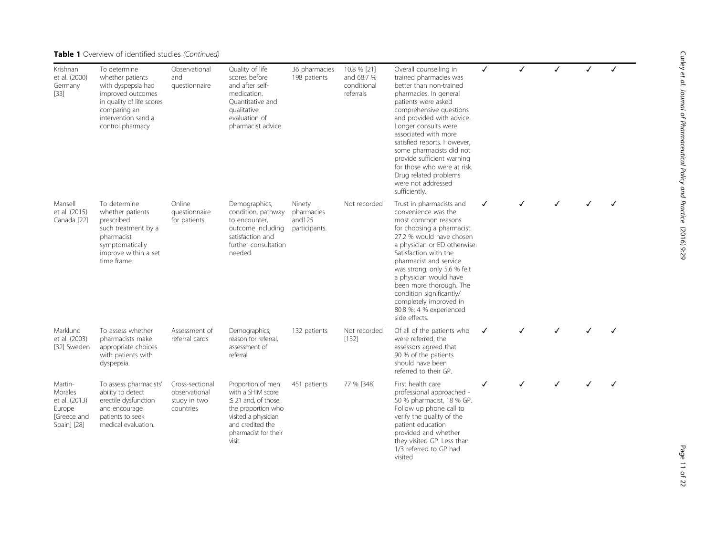| Krishnan<br>et al. (2000)<br>Germany<br>$[33]$                              | To determine<br>whether patients<br>with dyspepsia had<br>improved outcomes<br>in quality of life scores<br>comparing an<br>intervention sand a<br>control pharmacy | Observational<br>and<br>questionnaire                         | Quality of life<br>scores before<br>and after self-<br>medication.<br>Quantitative and<br>qualitative<br>evaluation of<br>pharmacist advice                           | 36 pharmacies<br>198 patients                   | 10.8 % [21]<br>and 68.7 %<br>conditional<br>referrals | Overall counselling in<br>trained pharmacies was<br>better than non-trained<br>pharmacies. In general<br>patients were asked<br>comprehensive questions<br>and provided with advice.<br>Longer consults were<br>associated with more<br>satisfied reports. However,<br>some pharmacists did not<br>provide sufficient warning<br>for those who were at risk.<br>Drug related problems<br>were not addressed<br>sufficiently. | $\checkmark$ | ✓ | J | ✓ | ✓ |
|-----------------------------------------------------------------------------|---------------------------------------------------------------------------------------------------------------------------------------------------------------------|---------------------------------------------------------------|-----------------------------------------------------------------------------------------------------------------------------------------------------------------------|-------------------------------------------------|-------------------------------------------------------|------------------------------------------------------------------------------------------------------------------------------------------------------------------------------------------------------------------------------------------------------------------------------------------------------------------------------------------------------------------------------------------------------------------------------|--------------|---|---|---|---|
| Mansell<br>et al. (2015)<br>Canada [22]                                     | To determine<br>whether patients<br>prescribed<br>such treatment by a<br>pharmacist<br>symptomatically<br>improve within a set<br>time frame.                       | Online<br>questionnaire<br>for patients                       | Demographics,<br>condition, pathway<br>to encounter,<br>outcome including<br>satisfaction and<br>further consultation<br>needed.                                      | Ninety<br>pharmacies<br>and125<br>participants. | Not recorded                                          | Trust in pharmacists and<br>convenience was the<br>most common reasons<br>for choosing a pharmacist.<br>27.2 % would have chosen<br>a physician or ED otherwise.<br>Satisfaction with the<br>pharmacist and service<br>was strong; only 5.6 % felt<br>a physician would have<br>been more thorough. The<br>condition significantly/<br>completely improved in<br>80.8 %; 4 % experienced<br>side effects.                    | ✓            | ✓ |   |   |   |
| Marklund<br>et al. (2003)<br>[32] Sweden                                    | To assess whether<br>pharmacists make<br>appropriate choices<br>with patients with<br>dyspepsia.                                                                    | Assessment of<br>referral cards                               | Demographics,<br>reason for referral,<br>assessment of<br>referral                                                                                                    | 132 patients                                    | Not recorded<br>[132]                                 | Of all of the patients who<br>were referred, the<br>assessors agreed that<br>90 % of the patients<br>should have been<br>referred to their GP.                                                                                                                                                                                                                                                                               | $\checkmark$ |   |   |   |   |
| Martin-<br>Morales<br>et al. (2013)<br>Europe<br>[Greece and<br>Spain] [28] | To assess pharmacists'<br>ability to detect<br>erectile dysfunction<br>and encourage<br>patients to seek<br>medical evaluation.                                     | Cross-sectional<br>observational<br>study in two<br>countries | Proportion of men<br>with a SHIM score<br>$\leq$ 21 and, of those,<br>the proportion who<br>visited a physician<br>and credited the<br>pharmacist for their<br>visit. | 451 patients                                    | 77 % [348]                                            | First health care<br>professional approached -<br>50 % pharmacist, 18 % GP.<br>Follow up phone call to<br>verify the quality of the<br>patient education<br>provided and whether<br>they visited GP. Less than<br>1/3 referred to GP had<br>visited                                                                                                                                                                          | ✓            |   |   |   |   |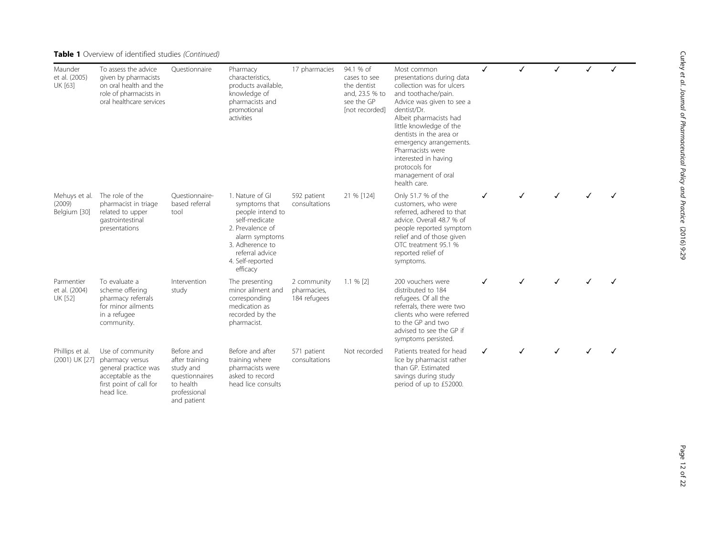| Maunder<br>et al. (2005)<br>UK [63]           | To assess the advice<br>given by pharmacists<br>on oral health and the<br>role of pharmacists in<br>oral healthcare services | Ouestionnaire                                                                                           | Pharmacy<br>characteristics,<br>products available,<br>knowledge of<br>pharmacists and<br>promotional<br>activities                                                               | 17 pharmacies                              | 94.1 % of<br>cases to see<br>the dentist<br>and, 23.5 % to<br>see the GP<br>[not recorded] | Most common<br>presentations during data<br>collection was for ulcers<br>and toothache/pain.<br>Advice was given to see a<br>dentist/Dr.<br>Albeit pharmacists had<br>little knowledge of the<br>dentists in the area or<br>emergency arrangements.<br>Pharmacists were<br>interested in having<br>protocols for<br>management of oral<br>health care. | ✓ |   |  |  |
|-----------------------------------------------|------------------------------------------------------------------------------------------------------------------------------|---------------------------------------------------------------------------------------------------------|-----------------------------------------------------------------------------------------------------------------------------------------------------------------------------------|--------------------------------------------|--------------------------------------------------------------------------------------------|--------------------------------------------------------------------------------------------------------------------------------------------------------------------------------------------------------------------------------------------------------------------------------------------------------------------------------------------------------|---|---|--|--|
| Mehuys et al.<br>(2009)<br>Belgium [30]       | The role of the<br>pharmacist in triage<br>related to upper<br>qastrointestinal<br>presentations                             | Ouestionnaire-<br>based referral<br>tool                                                                | 1. Nature of GL<br>symptoms that<br>people intend to<br>self-medicate<br>2. Prevalence of<br>alarm symptoms<br>3. Adherence to<br>referral advice<br>4. Self-reported<br>efficacy | 592 patient<br>consultations               | 21 % [124]                                                                                 | Only 51.7 % of the<br>customers, who were<br>referred, adhered to that<br>advice. Overall 48.7 % of<br>people reported symptom<br>relief and of those given<br>OTC treatment 95.1 %<br>reported relief of<br>symptoms.                                                                                                                                 |   | ✓ |  |  |
| Parmentier<br>et al. (2004)<br><b>UK [52]</b> | To evaluate a<br>scheme offering<br>pharmacy referrals<br>for minor ailments<br>in a refugee<br>community.                   | Intervention<br>study                                                                                   | The presenting<br>minor ailment and<br>corresponding<br>medication as<br>recorded by the<br>pharmacist.                                                                           | 2 community<br>pharmacies,<br>184 refugees | $1.1 \%$ [2]                                                                               | 200 vouchers were<br>distributed to 184<br>refugees. Of all the<br>referrals, there were two<br>clients who were referred<br>to the GP and two<br>advised to see the GP if<br>symptoms persisted.                                                                                                                                                      |   |   |  |  |
| Phillips et al.<br>(2001) UK [27]             | Use of community<br>pharmacy versus<br>general practice was<br>acceptable as the<br>first point of call for<br>head lice.    | Before and<br>after training<br>study and<br>questionnaires<br>to health<br>professional<br>and patient | Before and after<br>training where<br>pharmacists were<br>asked to record<br>head lice consults                                                                                   | 571 patient<br>consultations               | Not recorded                                                                               | Patients treated for head<br>lice by pharmacist rather<br>than GP. Estimated<br>savings during study<br>period of up to £52000.                                                                                                                                                                                                                        | ✓ | ✓ |  |  |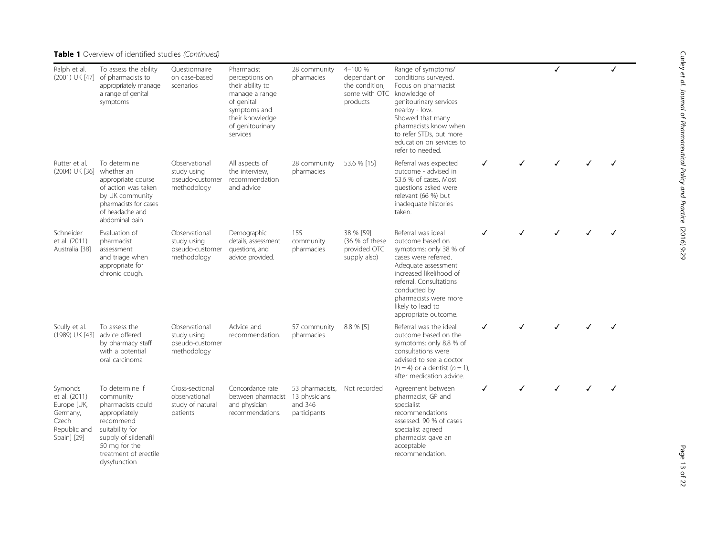| Ralph et al.                                                                                | To assess the ability<br>(2001) UK [47] of pharmacists to<br>appropriately manage<br>a range of genital<br>symptoms                                                                  | Questionnaire<br>on case-based<br>scenarios                      | Pharmacist<br>perceptions on<br>their ability to<br>manage a range<br>of genital<br>symptoms and<br>their knowledge<br>of genitourinary<br>services | 28 community<br>pharmacies                                  | 4-100 %<br>dependant on<br>the condition,<br>some with OTC<br>products | Range of symptoms/<br>conditions surveyed.<br>Focus on pharmacist<br>knowledge of<br>genitourinary services<br>nearby - low.<br>Showed that many<br>pharmacists know when<br>to refer STDs, but more<br>education on services to<br>refer to needed.        |   | ✓ | ✓ |
|---------------------------------------------------------------------------------------------|--------------------------------------------------------------------------------------------------------------------------------------------------------------------------------------|------------------------------------------------------------------|-----------------------------------------------------------------------------------------------------------------------------------------------------|-------------------------------------------------------------|------------------------------------------------------------------------|-------------------------------------------------------------------------------------------------------------------------------------------------------------------------------------------------------------------------------------------------------------|---|---|---|
| Rutter et al.<br>(2004) UK [36] whether an                                                  | To determine<br>appropriate course<br>of action was taken<br>by UK community<br>pharmacists for cases<br>of headache and<br>abdominal pain                                           | Observational<br>study using<br>pseudo-customer<br>methodology   | All aspects of<br>the interview,<br>recommendation<br>and advice                                                                                    | 28 community<br>pharmacies                                  | 53.6 % [15]                                                            | Referral was expected<br>outcome - advised in<br>53.6 % of cases. Most<br>questions asked were<br>relevant (66 %) but<br>inadequate histories<br>taken.                                                                                                     | ✓ |   |   |
| Schneider<br>et al. (2011)<br>Australia [38]                                                | Evaluation of<br>pharmacist<br>assessment<br>and triage when<br>appropriate for<br>chronic cough.                                                                                    | Observational<br>study using<br>pseudo-customer<br>methodology   | Demographic<br>details, assessment<br>questions, and<br>advice provided.                                                                            | 155<br>community<br>pharmacies                              | 38 % [59]<br>(36 % of these)<br>provided OTC<br>supply also)           | Referral was ideal<br>outcome based on<br>symptoms; only 38 % of<br>cases were referred.<br>Adequate assessment<br>increased likelihood of<br>referral. Consultations<br>conducted by<br>pharmacists were more<br>likely to lead to<br>appropriate outcome. | ℐ |   |   |
| Scully et al.                                                                               | To assess the<br>(1989) UK [43] advice offered<br>by pharmacy staff<br>with a potential<br>oral carcinoma                                                                            | Observational<br>study using<br>pseudo-customer<br>methodology   | Advice and<br>recommendation.                                                                                                                       | 57 community<br>pharmacies                                  | 8.8 % [5]                                                              | Referral was the ideal<br>outcome based on the<br>symptoms; only 8.8 % of<br>consultations were<br>advised to see a doctor<br>$(n=4)$ or a dentist $(n=1)$ .<br>after medication advice.                                                                    | ✓ |   |   |
| Symonds<br>et al. (2011)<br>Europe [UK,<br>Germany,<br>Czech<br>Republic and<br>Spain] [29] | To determine if<br>community<br>pharmacists could<br>appropriately<br>recommend<br>suitability for<br>supply of sildenafil<br>50 mg for the<br>treatment of erectile<br>dysyfunction | Cross-sectional<br>observational<br>study of natural<br>patients | Concordance rate<br>between pharmacist<br>and physician<br>recommendations.                                                                         | 53 pharmacists,<br>13 physicians<br>and 346<br>participants | Not recorded                                                           | Agreement between<br>pharmacist, GP and<br>specialist<br>recommendations<br>assessed. 90 % of cases<br>specialist agreed<br>pharmacist gave an<br>acceptable<br>recommendation.                                                                             | ✓ |   |   |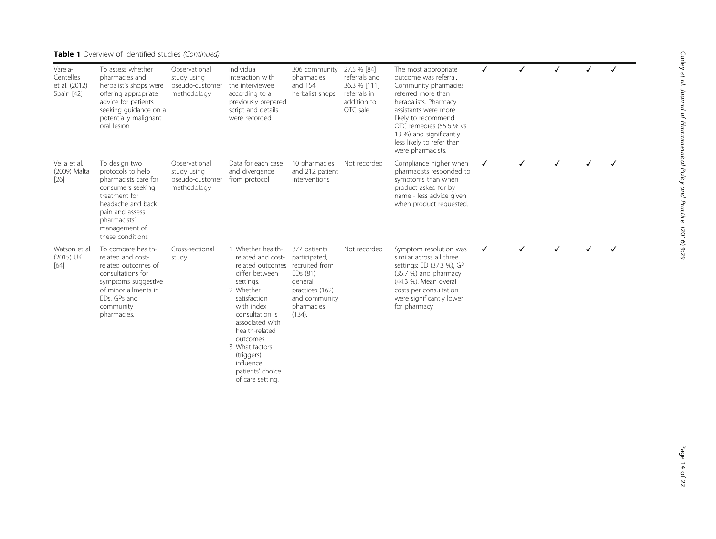| Varela-<br>Centelles<br>et al. (2012)<br>Spain [42] | To assess whether<br>pharmacies and<br>herbalist's shops were<br>offering appropriate<br>advice for patients<br>seeking guidance on a<br>potentially malignant<br>oral lesion                 | Observational<br>study using<br>pseudo-customer<br>methodology | Individual<br>interaction with<br>the interviewee<br>according to a<br>previously prepared<br>script and details<br>were recorded                                                                                                                                                                 | 306 community<br>pharmacies<br>and 154<br>herbalist shops                                                                              | 27.5 % [84]<br>referrals and<br>36.3 % [111]<br>referrals in<br>addition to<br>OTC sale | The most appropriate<br>outcome was referral.<br>Community pharmacies<br>referred more than<br>herabalists. Pharmacy<br>assistants were more<br>likely to recommend<br>OTC remedies (55.6 % vs.<br>13 %) and significantly<br>less likely to refer than<br>were pharmacists. | ✓            |   |  |  |
|-----------------------------------------------------|-----------------------------------------------------------------------------------------------------------------------------------------------------------------------------------------------|----------------------------------------------------------------|---------------------------------------------------------------------------------------------------------------------------------------------------------------------------------------------------------------------------------------------------------------------------------------------------|----------------------------------------------------------------------------------------------------------------------------------------|-----------------------------------------------------------------------------------------|------------------------------------------------------------------------------------------------------------------------------------------------------------------------------------------------------------------------------------------------------------------------------|--------------|---|--|--|
| Vella et al.<br>(2009) Malta<br>$[26]$              | To design two<br>protocols to help<br>pharmacists care for<br>consumers seeking<br>treatment for<br>headache and back<br>pain and assess<br>pharmacists'<br>management of<br>these conditions | Observational<br>study using<br>pseudo-customer<br>methodology | Data for each case<br>and divergence<br>from protocol                                                                                                                                                                                                                                             | 10 pharmacies<br>and 212 patient<br>interventions                                                                                      | Not recorded                                                                            | Compliance higher when<br>pharmacists responded to<br>symptoms than when<br>product asked for by<br>name - less advice given<br>when product requested.                                                                                                                      | $\checkmark$ | √ |  |  |
| Watson et al.<br>(2015) UK<br>[64]                  | To compare health-<br>related and cost-<br>related outcomes of<br>consultations for<br>symptoms suggestive<br>of minor ailments in<br>EDs, GPs and<br>community<br>pharmacies.                | Cross-sectional<br>study                                       | 1. Whether health-<br>related and cost-<br>related outcomes<br>differ between<br>settings.<br>2. Whether<br>satisfaction<br>with index<br>consultation is<br>associated with<br>health-related<br>outcomes.<br>3. What factors<br>(triggers)<br>influence<br>patients' choice<br>of care setting. | 377 patients<br>participated,<br>recruited from<br>EDs (81),<br>general<br>practices (162)<br>and community<br>pharmacies<br>$(134)$ . | Not recorded                                                                            | Symptom resolution was<br>similar across all three<br>settings: ED (37.3 %), GP<br>(35.7 %) and pharmacy<br>(44.3 %). Mean overall<br>costs per consultation<br>were significantly lower<br>for pharmacy                                                                     | ✓            | ✓ |  |  |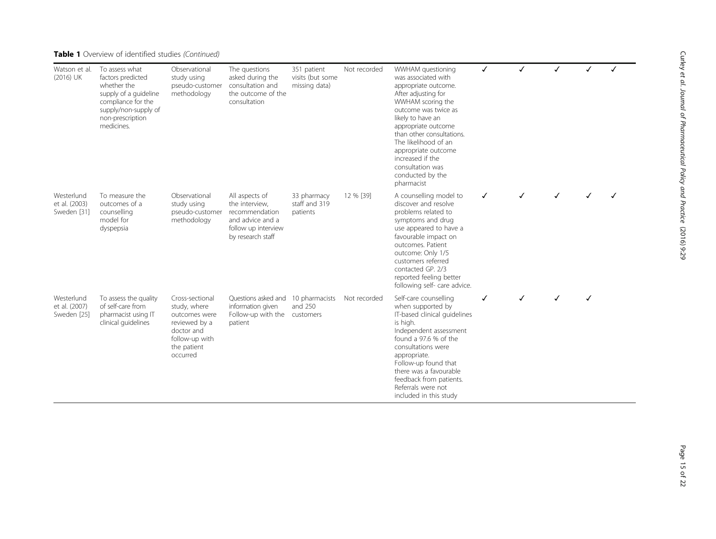|  |  | Table 1 Overview of identified studies (Continued) |  |  |
|--|--|----------------------------------------------------|--|--|
|--|--|----------------------------------------------------|--|--|

| Watson et al.<br>(2016) UK                 | To assess what<br>factors predicted<br>whether the<br>supply of a guideline<br>compliance for the<br>supply/non-supply of<br>non-prescription<br>medicines. | Observational<br>study using<br>pseudo-customer<br>methodology                                                               | The questions<br>asked during the<br>consultation and<br>the outcome of the<br>consultation                        | 351 patient<br>visits (but some<br>missing data) | Not recorded | WWHAM questioning<br>was associated with<br>appropriate outcome.<br>After adjusting for<br>WWHAM scoring the<br>outcome was twice as<br>likely to have an<br>appropriate outcome<br>than other consultations.<br>The likelihood of an<br>appropriate outcome<br>increased if the<br>consultation was<br>conducted by the<br>pharmacist | ✓ | ✓ |  |  |
|--------------------------------------------|-------------------------------------------------------------------------------------------------------------------------------------------------------------|------------------------------------------------------------------------------------------------------------------------------|--------------------------------------------------------------------------------------------------------------------|--------------------------------------------------|--------------|----------------------------------------------------------------------------------------------------------------------------------------------------------------------------------------------------------------------------------------------------------------------------------------------------------------------------------------|---|---|--|--|
| Westerlund<br>et al. (2003)<br>Sweden [31] | To measure the<br>outcomes of a<br>counselling<br>model for<br>dyspepsia                                                                                    | Observational<br>study using<br>pseudo-customer<br>methodology                                                               | All aspects of<br>the interview,<br>recommendation<br>and advice and a<br>follow up interview<br>by research staff | 33 pharmacy<br>staff and 319<br>patients         | 12 % [39]    | A counselling model to<br>discover and resolve<br>problems related to<br>symptoms and drug<br>use appeared to have a<br>favourable impact on<br>outcomes. Patient<br>outcome: Only 1/5<br>customers referred<br>contacted GP, 2/3<br>reported feeling better<br>following self- care advice.                                           | ✓ | ✓ |  |  |
| Westerlund<br>et al. (2007)<br>Sweden [25] | To assess the quality<br>of self-care from<br>pharmacist using IT<br>clinical quidelines                                                                    | Cross-sectional<br>study, where<br>outcomes were<br>reviewed by a<br>doctor and<br>follow-up with<br>the patient<br>occurred | Ouestions asked and<br>information given<br>Follow-up with the<br>patient                                          | 10 pharmacists<br>and 250<br>customers           | Not recorded | Self-care counselling<br>when supported by<br>IT-based clinical guidelines<br>is high.<br>Independent assessment<br>found a 97.6 % of the<br>consultations were<br>appropriate.<br>Follow-up found that<br>there was a favourable<br>feedback from patients.<br>Referrals were not<br>included in this study                           | ✓ | ✓ |  |  |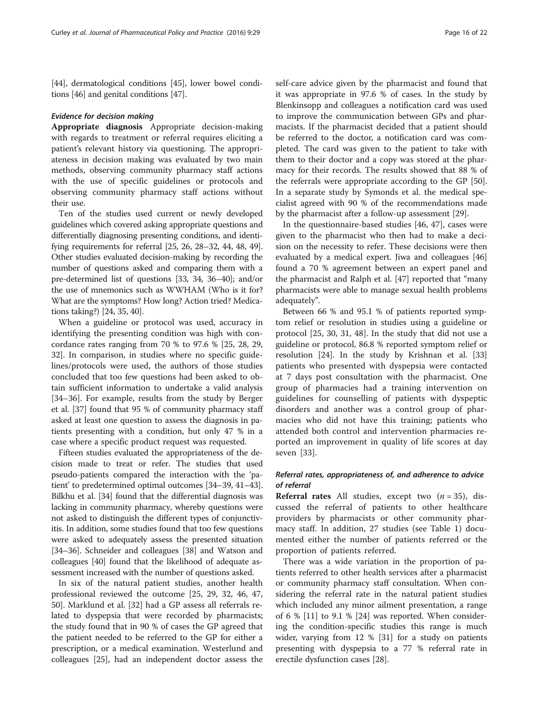[[44](#page-20-0)], dermatological conditions [\[45](#page-20-0)], lower bowel conditions [\[46\]](#page-20-0) and genital conditions [[47](#page-20-0)].

#### Evidence for decision making

Appropriate diagnosis Appropriate decision-making with regards to treatment or referral requires eliciting a patient's relevant history via questioning. The appropriateness in decision making was evaluated by two main methods, observing community pharmacy staff actions with the use of specific guidelines or protocols and observing community pharmacy staff actions without their use.

Ten of the studies used current or newly developed guidelines which covered asking appropriate questions and differentially diagnosing presenting conditions, and identifying requirements for referral [\[25](#page-20-0), [26](#page-20-0), [28](#page-20-0)–[32](#page-20-0), [44](#page-20-0), [48](#page-20-0), [49](#page-20-0)]. Other studies evaluated decision-making by recording the number of questions asked and comparing them with a pre-determined list of questions [[33](#page-20-0), [34, 36](#page-20-0)–[40](#page-20-0)]; and/or the use of mnemonics such as WWHAM (Who is it for? What are the symptoms? How long? Action tried? Medications taking?) [[24](#page-20-0), [35](#page-20-0), [40\]](#page-20-0).

When a guideline or protocol was used, accuracy in identifying the presenting condition was high with concordance rates ranging from 70 % to 97.6 % [[25](#page-20-0), [28, 29](#page-20-0), [32\]](#page-20-0). In comparison, in studies where no specific guidelines/protocols were used, the authors of those studies concluded that too few questions had been asked to obtain sufficient information to undertake a valid analysis [[34](#page-20-0)–[36](#page-20-0)]. For example, results from the study by Berger et al. [\[37\]](#page-20-0) found that 95 % of community pharmacy staff asked at least one question to assess the diagnosis in patients presenting with a condition, but only 47 % in a case where a specific product request was requested.

Fifteen studies evaluated the appropriateness of the decision made to treat or refer. The studies that used pseudo-patients compared the interaction with the 'patient' to predetermined optimal outcomes [\[34](#page-20-0)–[39](#page-20-0), [41](#page-20-0)–[43](#page-20-0)]. Bilkhu et al. [[34](#page-20-0)] found that the differential diagnosis was lacking in community pharmacy, whereby questions were not asked to distinguish the different types of conjunctivitis. In addition, some studies found that too few questions were asked to adequately assess the presented situation [[34](#page-20-0)–[36\]](#page-20-0). Schneider and colleagues [[38](#page-20-0)] and Watson and colleagues [\[40\]](#page-20-0) found that the likelihood of adequate assessment increased with the number of questions asked.

In six of the natural patient studies, another health professional reviewed the outcome [\[25, 29, 32](#page-20-0), [46, 47](#page-20-0), [50\]](#page-20-0). Marklund et al. [[32\]](#page-20-0) had a GP assess all referrals related to dyspepsia that were recorded by pharmacists; the study found that in 90 % of cases the GP agreed that the patient needed to be referred to the GP for either a prescription, or a medical examination. Westerlund and colleagues [\[25](#page-20-0)], had an independent doctor assess the self-care advice given by the pharmacist and found that it was appropriate in 97.6 % of cases. In the study by Blenkinsopp and colleagues a notification card was used to improve the communication between GPs and pharmacists. If the pharmacist decided that a patient should be referred to the doctor, a notification card was completed. The card was given to the patient to take with them to their doctor and a copy was stored at the pharmacy for their records. The results showed that 88 % of the referrals were appropriate according to the GP [\[50](#page-20-0)]. In a separate study by Symonds et al. the medical specialist agreed with 90 % of the recommendations made by the pharmacist after a follow-up assessment [\[29](#page-20-0)].

In the questionnaire-based studies [\[46, 47](#page-20-0)], cases were given to the pharmacist who then had to make a decision on the necessity to refer. These decisions were then evaluated by a medical expert. Jiwa and colleagues [[46](#page-20-0)] found a 70 % agreement between an expert panel and the pharmacist and Ralph et al. [[47](#page-20-0)] reported that "many pharmacists were able to manage sexual health problems adequately".

Between 66 % and 95.1 % of patients reported symptom relief or resolution in studies using a guideline or protocol [[25, 30, 31](#page-20-0), [48\]](#page-20-0). In the study that did not use a guideline or protocol, 86.8 % reported symptom relief or resolution [[24\]](#page-20-0). In the study by Krishnan et al. [[33](#page-20-0)] patients who presented with dyspepsia were contacted at 7 days post consultation with the pharmacist. One group of pharmacies had a training intervention on guidelines for counselling of patients with dyspeptic disorders and another was a control group of pharmacies who did not have this training; patients who attended both control and intervention pharmacies reported an improvement in quality of life scores at day seven [[33\]](#page-20-0).

## Referral rates, appropriateness of, and adherence to advice of referral

**Referral rates** All studies, except two  $(n = 35)$ , discussed the referral of patients to other healthcare providers by pharmacists or other community pharmacy staff. In addition, 27 studies (see Table [1](#page-4-0)) documented either the number of patients referred or the proportion of patients referred.

There was a wide variation in the proportion of patients referred to other health services after a pharmacist or community pharmacy staff consultation. When considering the referral rate in the natural patient studies which included any minor ailment presentation, a range of 6 % [\[11](#page-20-0)] to 9.1 % [\[24\]](#page-20-0) was reported. When considering the condition-specific studies this range is much wider, varying from 12 % [[31](#page-20-0)] for a study on patients presenting with dyspepsia to a 77 % referral rate in erectile dysfunction cases [[28\]](#page-20-0).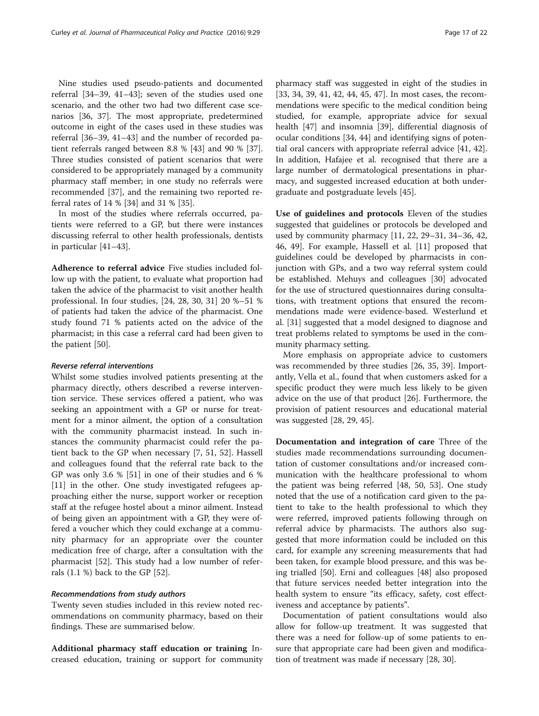Nine studies used pseudo-patients and documented referral [\[34](#page-20-0)–[39, 41](#page-20-0)–[43](#page-20-0)]; seven of the studies used one scenario, and the other two had two different case scenarios [\[36](#page-20-0), [37\]](#page-20-0). The most appropriate, predetermined outcome in eight of the cases used in these studies was referral [[36](#page-20-0)–[39](#page-20-0), [41](#page-20-0)–[43\]](#page-20-0) and the number of recorded patient referrals ranged between 8.8 % [[43](#page-20-0)] and 90 % [\[37](#page-20-0)]. Three studies consisted of patient scenarios that were considered to be appropriately managed by a community pharmacy staff member; in one study no referrals were recommended [\[37](#page-20-0)], and the remaining two reported referral rates of 14 % [\[34\]](#page-20-0) and 31 % [[35\]](#page-20-0).

In most of the studies where referrals occurred, patients were referred to a GP, but there were instances discussing referral to other health professionals, dentists in particular [\[41](#page-20-0)–[43\]](#page-20-0).

Adherence to referral advice Five studies included follow up with the patient, to evaluate what proportion had taken the advice of the pharmacist to visit another health professional. In four studies, [\[24](#page-20-0), [28, 30, 31\]](#page-20-0) 20 %–51 % of patients had taken the advice of the pharmacist. One study found 71 % patients acted on the advice of the pharmacist; in this case a referral card had been given to the patient [[50\]](#page-20-0).

## Reverse referral interventions

Whilst some studies involved patients presenting at the pharmacy directly, others described a reverse intervention service. These services offered a patient, who was seeking an appointment with a GP or nurse for treatment for a minor ailment, the option of a consultation with the community pharmacist instead. In such instances the community pharmacist could refer the patient back to the GP when necessary [[7, 51](#page-20-0), [52\]](#page-20-0). Hassell and colleagues found that the referral rate back to the GP was only 3.6 % [[51\]](#page-20-0) in one of their studies and 6 % [[11\]](#page-20-0) in the other. One study investigated refugees approaching either the nurse, support worker or reception staff at the refugee hostel about a minor ailment. Instead of being given an appointment with a GP, they were offered a voucher which they could exchange at a community pharmacy for an appropriate over the counter medication free of charge, after a consultation with the pharmacist [[52\]](#page-20-0). This study had a low number of referrals (1.1 %) back to the GP [[52\]](#page-20-0).

#### Recommendations from study authors

Twenty seven studies included in this review noted recommendations on community pharmacy, based on their findings. These are summarised below.

Additional pharmacy staff education or training Increased education, training or support for community

pharmacy staff was suggested in eight of the studies in [[33, 34, 39, 41, 42](#page-20-0), [44](#page-20-0), [45](#page-20-0), [47](#page-20-0)]. In most cases, the recommendations were specific to the medical condition being studied, for example, appropriate advice for sexual health [[47](#page-20-0)] and insomnia [\[39\]](#page-20-0), differential diagnosis of ocular conditions [\[34, 44\]](#page-20-0) and identifying signs of potential oral cancers with appropriate referral advice [\[41](#page-20-0), [42](#page-20-0)]. In addition, Hafajee et al. recognised that there are a large number of dermatological presentations in pharmacy, and suggested increased education at both undergraduate and postgraduate levels [[45\]](#page-20-0).

Use of guidelines and protocols Eleven of the studies suggested that guidelines or protocols be developed and used by community pharmacy [\[11, 22, 29](#page-20-0)–[31, 34](#page-20-0)–[36](#page-20-0), [42](#page-20-0), [46, 49](#page-20-0)]. For example, Hassell et al. [[11](#page-20-0)] proposed that guidelines could be developed by pharmacists in conjunction with GPs, and a two way referral system could be established. Mehuys and colleagues [[30](#page-20-0)] advocated for the use of structured questionnaires during consultations, with treatment options that ensured the recommendations made were evidence-based. Westerlund et al. [\[31\]](#page-20-0) suggested that a model designed to diagnose and treat problems related to symptoms be used in the community pharmacy setting.

More emphasis on appropriate advice to customers was recommended by three studies [\[26](#page-20-0), [35, 39\]](#page-20-0). Importantly, Vella et al., found that when customers asked for a specific product they were much less likely to be given advice on the use of that product [[26](#page-20-0)]. Furthermore, the provision of patient resources and educational material was suggested [\[28](#page-20-0), [29](#page-20-0), [45](#page-20-0)].

Documentation and integration of care Three of the studies made recommendations surrounding documentation of customer consultations and/or increased communication with the healthcare professional to whom the patient was being referred [[48, 50](#page-20-0), [53\]](#page-20-0). One study noted that the use of a notification card given to the patient to take to the health professional to which they were referred, improved patients following through on referral advice by pharmacists. The authors also suggested that more information could be included on this card, for example any screening measurements that had been taken, for example blood pressure, and this was being trialled [[50\]](#page-20-0). Erni and colleagues [\[48](#page-20-0)] also proposed that future services needed better integration into the health system to ensure "its efficacy, safety, cost effectiveness and acceptance by patients".

Documentation of patient consultations would also allow for follow-up treatment. It was suggested that there was a need for follow-up of some patients to ensure that appropriate care had been given and modification of treatment was made if necessary [\[28, 30\]](#page-20-0).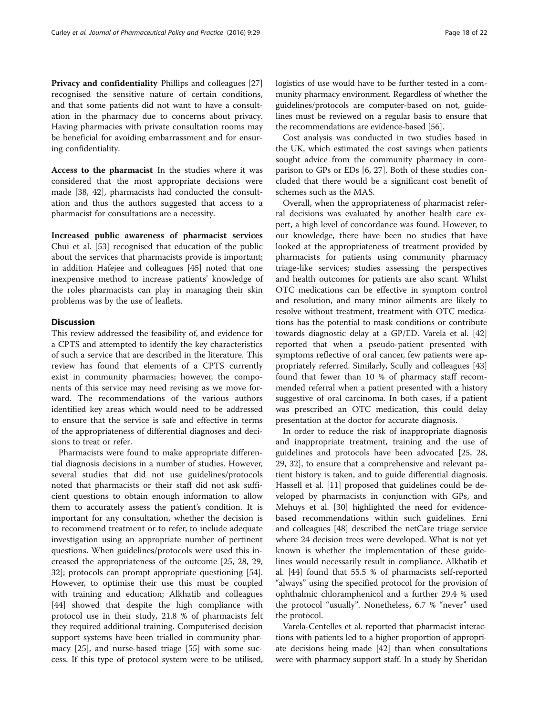Privacy and confidentiality Phillips and colleagues [[27](#page-20-0)] recognised the sensitive nature of certain conditions, and that some patients did not want to have a consultation in the pharmacy due to concerns about privacy. Having pharmacies with private consultation rooms may be beneficial for avoiding embarrassment and for ensuring confidentiality.

Access to the pharmacist In the studies where it was considered that the most appropriate decisions were made [\[38, 42\]](#page-20-0), pharmacists had conducted the consultation and thus the authors suggested that access to a pharmacist for consultations are a necessity.

Increased public awareness of pharmacist services Chui et al. [\[53\]](#page-20-0) recognised that education of the public about the services that pharmacists provide is important; in addition Hafejee and colleagues [\[45](#page-20-0)] noted that one inexpensive method to increase patients' knowledge of the roles pharmacists can play in managing their skin problems was by the use of leaflets.

## **Discussion**

This review addressed the feasibility of, and evidence for a CPTS and attempted to identify the key characteristics of such a service that are described in the literature. This review has found that elements of a CPTS currently exist in community pharmacies; however, the components of this service may need revising as we move forward. The recommendations of the various authors identified key areas which would need to be addressed to ensure that the service is safe and effective in terms of the appropriateness of differential diagnoses and decisions to treat or refer.

Pharmacists were found to make appropriate differential diagnosis decisions in a number of studies. However, several studies that did not use guidelines/protocols noted that pharmacists or their staff did not ask sufficient questions to obtain enough information to allow them to accurately assess the patient's condition. It is important for any consultation, whether the decision is to recommend treatment or to refer, to include adequate investigation using an appropriate number of pertinent questions. When guidelines/protocols were used this increased the appropriateness of the outcome [[25, 28, 29](#page-20-0), [32\]](#page-20-0); protocols can prompt appropriate questioning [\[54](#page-20-0)]. However, to optimise their use this must be coupled with training and education; Alkhatib and colleagues [[44\]](#page-20-0) showed that despite the high compliance with protocol use in their study, 21.8 % of pharmacists felt they required additional training. Computerised decision support systems have been trialled in community pharmacy [[25](#page-20-0)], and nurse-based triage [\[55](#page-20-0)] with some success. If this type of protocol system were to be utilised, logistics of use would have to be further tested in a community pharmacy environment. Regardless of whether the guidelines/protocols are computer-based on not, guidelines must be reviewed on a regular basis to ensure that the recommendations are evidence-based [\[56\]](#page-21-0).

Cost analysis was conducted in two studies based in the UK, which estimated the cost savings when patients sought advice from the community pharmacy in comparison to GPs or EDs [\[6](#page-20-0), [27\]](#page-20-0). Both of these studies concluded that there would be a significant cost benefit of schemes such as the MAS.

Overall, when the appropriateness of pharmacist referral decisions was evaluated by another health care expert, a high level of concordance was found. However, to our knowledge, there have been no studies that have looked at the appropriateness of treatment provided by pharmacists for patients using community pharmacy triage-like services; studies assessing the perspectives and health outcomes for patients are also scant. Whilst OTC medications can be effective in symptom control and resolution, and many minor ailments are likely to resolve without treatment, treatment with OTC medications has the potential to mask conditions or contribute towards diagnostic delay at a GP/ED. Varela et al. [[42](#page-20-0)] reported that when a pseudo-patient presented with symptoms reflective of oral cancer, few patients were appropriately referred. Similarly, Scully and colleagues [[43](#page-20-0)] found that fewer than 10 % of pharmacy staff recommended referral when a patient presented with a history suggestive of oral carcinoma. In both cases, if a patient was prescribed an OTC medication, this could delay presentation at the doctor for accurate diagnosis.

In order to reduce the risk of inappropriate diagnosis and inappropriate treatment, training and the use of guidelines and protocols have been advocated [[25, 28](#page-20-0), [29, 32\]](#page-20-0), to ensure that a comprehensive and relevant patient history is taken, and to guide differential diagnosis. Hassell et al. [\[11](#page-20-0)] proposed that guidelines could be developed by pharmacists in conjunction with GPs, and Mehuys et al. [[30\]](#page-20-0) highlighted the need for evidencebased recommendations within such guidelines. Erni and colleagues [\[48\]](#page-20-0) described the netCare triage service where 24 decision trees were developed. What is not yet known is whether the implementation of these guidelines would necessarily result in compliance. Alkhatib et al. [[44](#page-20-0)] found that 55.5 % of pharmacists self-reported "always" using the specified protocol for the provision of ophthalmic chloramphenicol and a further 29.4 % used the protocol "usually". Nonetheless, 6.7 % "never" used the protocol.

Varela-Centelles et al. reported that pharmacist interactions with patients led to a higher proportion of appropriate decisions being made [[42](#page-20-0)] than when consultations were with pharmacy support staff. In a study by Sheridan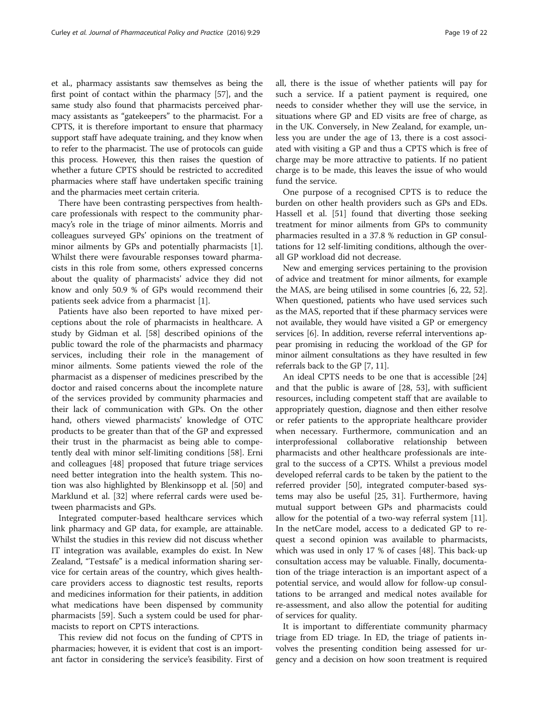et al., pharmacy assistants saw themselves as being the first point of contact within the pharmacy [\[57\]](#page-21-0), and the same study also found that pharmacists perceived pharmacy assistants as "gatekeepers" to the pharmacist. For a CPTS, it is therefore important to ensure that pharmacy support staff have adequate training, and they know when to refer to the pharmacist. The use of protocols can guide this process. However, this then raises the question of whether a future CPTS should be restricted to accredited pharmacies where staff have undertaken specific training and the pharmacies meet certain criteria.

There have been contrasting perspectives from healthcare professionals with respect to the community pharmacy's role in the triage of minor ailments. Morris and colleagues surveyed GPs' opinions on the treatment of minor ailments by GPs and potentially pharmacists [\[1](#page-19-0)]. Whilst there were favourable responses toward pharmacists in this role from some, others expressed concerns about the quality of pharmacists' advice they did not know and only 50.9 % of GPs would recommend their patients seek advice from a pharmacist [\[1\]](#page-19-0).

Patients have also been reported to have mixed perceptions about the role of pharmacists in healthcare. A study by Gidman et al. [\[58\]](#page-21-0) described opinions of the public toward the role of the pharmacists and pharmacy services, including their role in the management of minor ailments. Some patients viewed the role of the pharmacist as a dispenser of medicines prescribed by the doctor and raised concerns about the incomplete nature of the services provided by community pharmacies and their lack of communication with GPs. On the other hand, others viewed pharmacists' knowledge of OTC products to be greater than that of the GP and expressed their trust in the pharmacist as being able to competently deal with minor self-limiting conditions [[58\]](#page-21-0). Erni and colleagues [\[48](#page-20-0)] proposed that future triage services need better integration into the health system. This notion was also highlighted by Blenkinsopp et al. [[50\]](#page-20-0) and Marklund et al. [\[32](#page-20-0)] where referral cards were used between pharmacists and GPs.

Integrated computer-based healthcare services which link pharmacy and GP data, for example, are attainable. Whilst the studies in this review did not discuss whether IT integration was available, examples do exist. In New Zealand, "Testsafe" is a medical information sharing service for certain areas of the country, which gives healthcare providers access to diagnostic test results, reports and medicines information for their patients, in addition what medications have been dispensed by community pharmacists [\[59](#page-21-0)]. Such a system could be used for pharmacists to report on CPTS interactions.

This review did not focus on the funding of CPTS in pharmacies; however, it is evident that cost is an important factor in considering the service's feasibility. First of all, there is the issue of whether patients will pay for such a service. If a patient payment is required, one needs to consider whether they will use the service, in situations where GP and ED visits are free of charge, as in the UK. Conversely, in New Zealand, for example, unless you are under the age of 13, there is a cost associated with visiting a GP and thus a CPTS which is free of charge may be more attractive to patients. If no patient charge is to be made, this leaves the issue of who would fund the service.

One purpose of a recognised CPTS is to reduce the burden on other health providers such as GPs and EDs. Hassell et al. [\[51\]](#page-20-0) found that diverting those seeking treatment for minor ailments from GPs to community pharmacies resulted in a 37.8 % reduction in GP consultations for 12 self-limiting conditions, although the overall GP workload did not decrease.

New and emerging services pertaining to the provision of advice and treatment for minor ailments, for example the MAS, are being utilised in some countries [[6](#page-20-0), [22](#page-20-0), [52](#page-20-0)]. When questioned, patients who have used services such as the MAS, reported that if these pharmacy services were not available, they would have visited a GP or emergency services [\[6](#page-20-0)]. In addition, reverse referral interventions appear promising in reducing the workload of the GP for minor ailment consultations as they have resulted in few referrals back to the GP [\[7](#page-20-0), [11\]](#page-20-0).

An ideal CPTS needs to be one that is accessible [[24](#page-20-0)] and that the public is aware of [[28, 53\]](#page-20-0), with sufficient resources, including competent staff that are available to appropriately question, diagnose and then either resolve or refer patients to the appropriate healthcare provider when necessary. Furthermore, communication and an interprofessional collaborative relationship between pharmacists and other healthcare professionals are integral to the success of a CPTS. Whilst a previous model developed referral cards to be taken by the patient to the referred provider [\[50\]](#page-20-0), integrated computer-based systems may also be useful [[25, 31](#page-20-0)]. Furthermore, having mutual support between GPs and pharmacists could allow for the potential of a two-way referral system [\[11](#page-20-0)]. In the netCare model, access to a dedicated GP to request a second opinion was available to pharmacists, which was used in only 17 % of cases [\[48\]](#page-20-0). This back-up consultation access may be valuable. Finally, documentation of the triage interaction is an important aspect of a potential service, and would allow for follow-up consultations to be arranged and medical notes available for re-assessment, and also allow the potential for auditing of services for quality.

It is important to differentiate community pharmacy triage from ED triage. In ED, the triage of patients involves the presenting condition being assessed for urgency and a decision on how soon treatment is required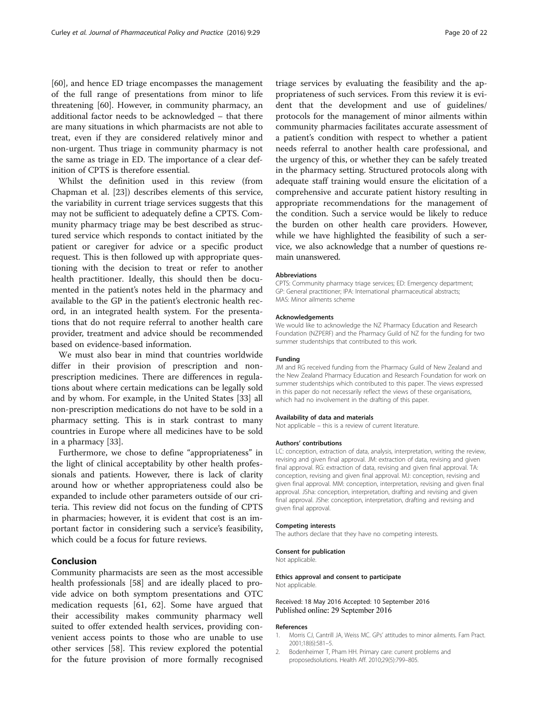<span id="page-19-0"></span>[[60\]](#page-21-0), and hence ED triage encompasses the management of the full range of presentations from minor to life threatening [[60](#page-21-0)]. However, in community pharmacy, an additional factor needs to be acknowledged – that there are many situations in which pharmacists are not able to treat, even if they are considered relatively minor and non-urgent. Thus triage in community pharmacy is not the same as triage in ED. The importance of a clear definition of CPTS is therefore essential.

Whilst the definition used in this review (from Chapman et al. [[23\]](#page-20-0)) describes elements of this service, the variability in current triage services suggests that this may not be sufficient to adequately define a CPTS. Community pharmacy triage may be best described as structured service which responds to contact initiated by the patient or caregiver for advice or a specific product request. This is then followed up with appropriate questioning with the decision to treat or refer to another health practitioner. Ideally, this should then be documented in the patient's notes held in the pharmacy and available to the GP in the patient's electronic health record, in an integrated health system. For the presentations that do not require referral to another health care provider, treatment and advice should be recommended based on evidence-based information.

We must also bear in mind that countries worldwide differ in their provision of prescription and nonprescription medicines. There are differences in regulations about where certain medications can be legally sold and by whom. For example, in the United States [[33\]](#page-20-0) all non-prescription medications do not have to be sold in a pharmacy setting. This is in stark contrast to many countries in Europe where all medicines have to be sold in a pharmacy [\[33\]](#page-20-0).

Furthermore, we chose to define "appropriateness" in the light of clinical acceptability by other health professionals and patients. However, there is lack of clarity around how or whether appropriateness could also be expanded to include other parameters outside of our criteria. This review did not focus on the funding of CPTS in pharmacies; however, it is evident that cost is an important factor in considering such a service's feasibility, which could be a focus for future reviews.

## Conclusion

Community pharmacists are seen as the most accessible health professionals [\[58](#page-21-0)] and are ideally placed to provide advice on both symptom presentations and OTC medication requests [\[61](#page-21-0), [62\]](#page-21-0). Some have argued that their accessibility makes community pharmacy well suited to offer extended health services, providing convenient access points to those who are unable to use other services [[58\]](#page-21-0). This review explored the potential for the future provision of more formally recognised triage services by evaluating the feasibility and the appropriateness of such services. From this review it is evident that the development and use of guidelines/ protocols for the management of minor ailments within community pharmacies facilitates accurate assessment of a patient's condition with respect to whether a patient needs referral to another health care professional, and the urgency of this, or whether they can be safely treated in the pharmacy setting. Structured protocols along with adequate staff training would ensure the elicitation of a comprehensive and accurate patient history resulting in appropriate recommendations for the management of the condition. Such a service would be likely to reduce the burden on other health care providers. However, while we have highlighted the feasibility of such a service, we also acknowledge that a number of questions remain unanswered.

#### **Abbreviations**

CPTS: Community pharmacy triage services; ED: Emergency department; GP: General practitioner; IPA: International pharmaceutical abstracts; MAS: Minor ailments scheme

#### Acknowledgements

We would like to acknowledge the NZ Pharmacy Education and Research Foundation (NZPERF) and the Pharmacy Guild of NZ for the funding for two summer studentships that contributed to this work.

#### Funding

JM and RG received funding from the Pharmacy Guild of New Zealand and the New Zealand Pharmacy Education and Research Foundation for work on summer studentships which contributed to this paper. The views expressed in this paper do not necessarily reflect the views of these organisations, which had no involvement in the drafting of this paper.

#### Availability of data and materials

Not applicable – this is a review of current literature.

#### Authors' contributions

LC: conception, extraction of data, analysis, interpretation, writing the review, revising and given final approval. JM: extraction of data, revising and given final approval. RG: extraction of data, revising and given final approval. TA: conception, revising and given final approval. MJ: conception, revising and given final approval. MM: conception, interpretation, revising and given final approval. JSha: conception, interpretation, drafting and revising and given final approval. JShe: conception, interpretation, drafting and revising and given final approval.

#### Competing interests

The authors declare that they have no competing interests.

#### Consent for publication

Not applicable.

#### Ethics approval and consent to participate Not applicable.

Received: 18 May 2016 Accepted: 10 September 2016 Published online: 29 September 2016

#### References

- 1. Morris CJ, Cantrill JA, Weiss MC. GPs' attitudes to minor ailments. Fam Pract. 2001;18(6):581–5.
- 2. Bodenheimer T, Pham HH. Primary care: current problems and proposedsolutions. Health Aff. 2010;29(5):799–805.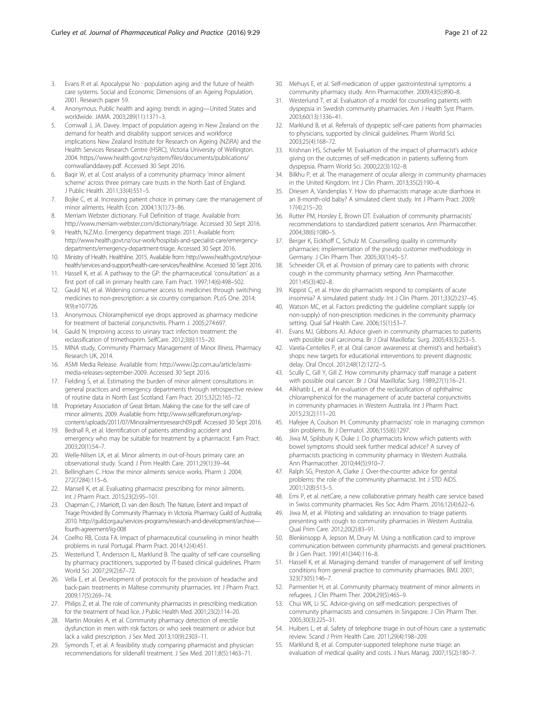- <span id="page-20-0"></span>3. Evans R et al. Apocalypse No : population aging and the future of health care systems. Social and Economic Dimensions of an Ageing Population, 2001. Research paper 59.
- 4. Anonymous. Public health and aging: trends in aging—United States and worldwide. JAMA. 2003;289(11):1371–3.
- 5. Cornwall J, JA. Davey. Impact of population ageing in New Zealand on the demand for health and disability support services and workforce implications New Zealand Institute for Research on Ageing (NZiRA) and the Health Services Research Centre (HSRC), Victoria University of Wellington. 2004. [https://www.health.govt.nz/system/files/documents/publications/](https://www.health.govt.nz/system/files/documents/publications/cornwallanddavey.pdf) [cornwallanddavey.pdf](https://www.health.govt.nz/system/files/documents/publications/cornwallanddavey.pdf). Accessed 30 Sept 2016.
- 6. Baqir W, et al. Cost analysis of a community pharmacy 'minor ailment scheme' across three primary care trusts in the North East of England. J Public Health. 2011;33(4):551–5.
- 7. Bojke C, et al. Increasing patient choice in primary care: the management of minor ailments. Health Econ. 2004;13(1):73–86.
- 8. Merriam Webster dictionary. Full Definition of triage. Available from: [http://www.merriam-webster.com/dictionary/triage.](http://www.merriam-webster.com/dictionary/triage) Accessed 30 Sept 2016.
- 9. Health, N.Z.M.o. Emergency department triage. 2011. Available from: [http://www.health.govt.nz/our-work/hospitals-and-specialist-care/emergency](http://www.health.govt.nz/our-work/hospitals-and-specialist-care/emergency-departments/emergency-department-triage)[departments/emergency-department-triage.](http://www.health.govt.nz/our-work/hospitals-and-specialist-care/emergency-departments/emergency-department-triage) Accessed 30 Sept 2016.
- 10. Ministry of Health. Healthline. 2015. Available from: [http://www.health.govt.nz/your](http://www.health.govt.nz/your-health/services-and-support/health-care-services/healthline)[health/services-and-support/health-care-services/healthline.](http://www.health.govt.nz/your-health/services-and-support/health-care-services/healthline) Accessed 30 Sept 2016.
- 11. Hassell K, et al. A pathway to the GP: the pharmaceutical 'consultation' as a first port of call in primary health care. Fam Pract. 1997;14(6):498–502.
- 12. Gauld NJ, et al. Widening consumer access to medicines through switching medicines to non-prescription: a six country comparison. PLoS One. 2014; 9(9):e107726.
- 13. Anonymous. Chloramphenicol eye drops approved as pharmacy medicine for treatment of bacterial conjunctivitis. Pharm J. 2005;274:697.
- 14. Gauld N. Improving access to urinary tract infection treatment: the reclassification of trimethoprim. SelfCare. 2012;3(6):115–20.
- 15. MINA study, Community Pharmacy Management of Minor Illness. Pharmacy Research UK, 2014.
- 16. ASMI Media Release. Available from: [http://www.i2p.com.au/article/asmi](http://www.i2p.com.au/article/asmi-media-releases-september-2009)[media-releases-september-2009](http://www.i2p.com.au/article/asmi-media-releases-september-2009). Accessed 30 Sept 2016.
- 17. Fielding S, et al. Estimating the burden of minor ailment consultations in general practices and emergency departments through retrospective review of routine data in North East Scotland. Fam Pract. 2015;32(2):165–72.
- 18. Proprietary Association of Great Britain. Making the case for the self care of minor ailments. 2009. Available from: [http://www.selfcareforum.org/wp](http://www.selfcareforum.org/wp-content/uploads/2011/07/Minorailmentsresearch09.pdf)[content/uploads/2011/07/Minorailmentsresearch09.pdf](http://www.selfcareforum.org/wp-content/uploads/2011/07/Minorailmentsresearch09.pdf). Accessed 30 Sept 2016.
- 19. Bednall R, et al. Identification of patients attending accident and emergency who may be suitable for treatment by a pharmacist. Fam Pract. 2003;20(1):54–7.
- 20. Welle-Nilsen LK, et al. Minor ailments in out-of-hours primary care: an observational study. Scand J Prim Health Care. 2011;29(1):39–44.
- 21. Bellingham C. How the minor ailments service works. Pharm J. 2004; 272(7284):115–6.
- 22. Mansell K, et al. Evaluating pharmacist prescribing for minor ailments. Int J Pharm Pract. 2015;23(2):95–101.
- 23. Chapman C, J Marriott, D. van den Bosch. The Nature, Extent and Impact of Triage Provided By Community Pharmacy in Victoria. Pharmacy Guild of Australia; 2010. [http://guild.org.au/services-programs/research-and-development/archive](http://guild.org.au/services-programs/research-and-development/archive---fourth-agreement/iig-008) [fourth-agreement/iig-008](http://guild.org.au/services-programs/research-and-development/archive---fourth-agreement/iig-008)
- 24. Coelho RB, Costa FA. Impact of pharmaceutical counseling in minor health problems in rural Portugal. Pharm Pract. 2014;12(4):451.
- 25. Westerlund T, Andersson IL, Marklund B. The quality of self-care counselling by pharmacy practitioners, supported by IT-based clinical guidelines. Pharm World Sci. 2007;29(2):67–72.
- 26. Vella E, et al. Development of protocols for the provision of headache and back-pain treatments in Maltese community pharmacies. Int J Pharm Pract. 2009;17(5):269–74.
- 27. Philips Z, et al. The role of community pharmacists in prescribing medication for the treatment of head lice. J Public Health Med. 2001;23(2):114–20.
- 28. Martin Morales A, et al. Community pharmacy detection of erectile dysfunction in men with risk factors or who seek treatment or advice but lack a valid prescription. J Sex Med. 2013;10(9):2303–11.
- 29. Symonds T, et al. A feasibility study comparing pharmacist and physician recommendations for sildenafil treatment. J Sex Med. 2011;8(5):1463–71.
- 30. Mehuys E, et al. Self-medication of upper gastrointestinal symptoms: a community pharmacy study. Ann Pharmacother. 2009;43(5):890–8.
- 31. Westerlund T, et al. Evaluation of a model for counseling patients with dyspepsia in Swedish community pharmacies. Am J Health Syst Pharm. 2003;60(13):1336–41.
- 32. Marklund B, et al. Referrals of dyspeptic self-care patients from pharmacies to physicians, supported by clinical guidelines. Pharm World Sci. 2003;25(4):168–72.
- 33. Krishnan HS, Schaefer M. Evaluation of the impact of pharmacist's advice giving on the outcomes of self-medication in patients suffering from dyspepsia. Pharm World Sci. 2000;22(3):102–8.
- 34. Bilkhu P, et al. The management of ocular allergy in community pharmacies in the United Kingdom. Int J Clin Pharm. 2013;35(2):190–4.
- 35. Driesen A, Vandenplas Y. How do pharmacists manage acute diarrhoea in an 8-month-old baby? A simulated client study. Int J Pharm Pract. 2009; 17(4):215–20.
- 36. Rutter PM, Horsley E, Brown DT. Evaluation of community pharmacists' recommendations to standardized patient scenarios. Ann Pharmacother. 2004;38(6):1080–5.
- 37. Berger K, Eickhoff C, Schulz M. Counselling quality in community pharmacies: implementation of the pseudo customer methodology in Germany. J Clin Pharm Ther. 2005;30(1):45–57.
- 38. Schneider CR, et al. Provision of primary care to patients with chronic cough in the community pharmacy setting. Ann Pharmacother. 2011;45(3):402–8.
- 39. Kippist C, et al. How do pharmacists respond to complaints of acute insomnia? A simulated patient study. Int J Clin Pharm. 2011;33(2):237–45.
- 40. Watson MC, et al. Factors predicting the guideline compliant supply (or non-supply) of non-prescription medicines in the community pharmacy setting. Qual Saf Health Care. 2006;15(1):53–7.
- 41. Evans MJ, Gibbons AJ. Advice given in community pharmacies to patients with possible oral carcinoma. Br J Oral Maxillofac Surg. 2005;43(3):253–5.
- 42. Varela-Centelles P, et al. Oral cancer awareness at chemist's and herbalist's shops: new targets for educational interventions to prevent diagnostic delay. Oral Oncol. 2012;48(12):1272–5.
- 43. Scully C, Gill Y, Gill Z. How community pharmacy staff manage a patient with possible oral cancer. Br J Oral Maxillofac Surg. 1989;27(1):16–21.
- 44. Alkhatib L, et al. An evaluation of the reclassification of ophthalmic chloramphenicol for the management of acute bacterial conjunctivitis in community pharmacies in Western Australia. Int J Pharm Pract. 2015;23(2):111–20.
- 45. Hafejee A, Coulson IH. Community pharmacists' role in managing common skin problems. Br J Dermatol. 2006;155(6):1297.
- 46. Jiwa M, Spilsbury K, Duke J. Do pharmacists know which patients with bowel symptoms should seek further medical advice? A survey of pharmacists practicing in community pharmacy in Western Australia. Ann Pharmacother. 2010;44(5):910–7.
- 47. Ralph SG, Preston A, Clarke J. Over-the-counter advice for genital problems: the role of the community pharmacist. Int J STD AIDS. 2001;12(8):513–5.
- 48. Erni P, et al. netCare, a new collaborative primary health care service based in Swiss community pharmacies. Res Soc Adm Pharm. 2016;12(4):622–6.
- 49. Jiwa M, et al. Piloting and validating an innovation to triage patients presenting with cough to community pharmacies in Western Australia. Qual Prim Care. 2012;20(2):83–91.
- 50. Blenkinsopp A, Jepson M, Drury M. Using a notification card to improve communication between community pharmacists and general practitioners. Br J Gen Pract. 1991;41(344):116–8.
- 51. Hassell K, et al. Managing demand: transfer of management of self limiting conditions from general practice to community pharmacies. BMJ. 2001; 323(7305):146–7.
- 52. Parmentier H, et al. Community pharmacy treatment of minor ailments in refugees. J Clin Pharm Ther. 2004;29(5):465–9.
- 53. Chui WK, Li SC. Advice-giving on self-medication: perspectives of community pharmacists and consumers in Singapore. J Clin Pharm Ther. 2005;30(3):225–31.
- 54. Huibers L, et al. Safety of telephone triage in out-of-hours care: a systematic review. Scand J Prim Health Care. 2011;29(4):198–209.
- 55. Marklund B, et al. Computer-supported telephone nurse triage: an evaluation of medical quality and costs. J Nurs Manag. 2007;15(2):180–7.